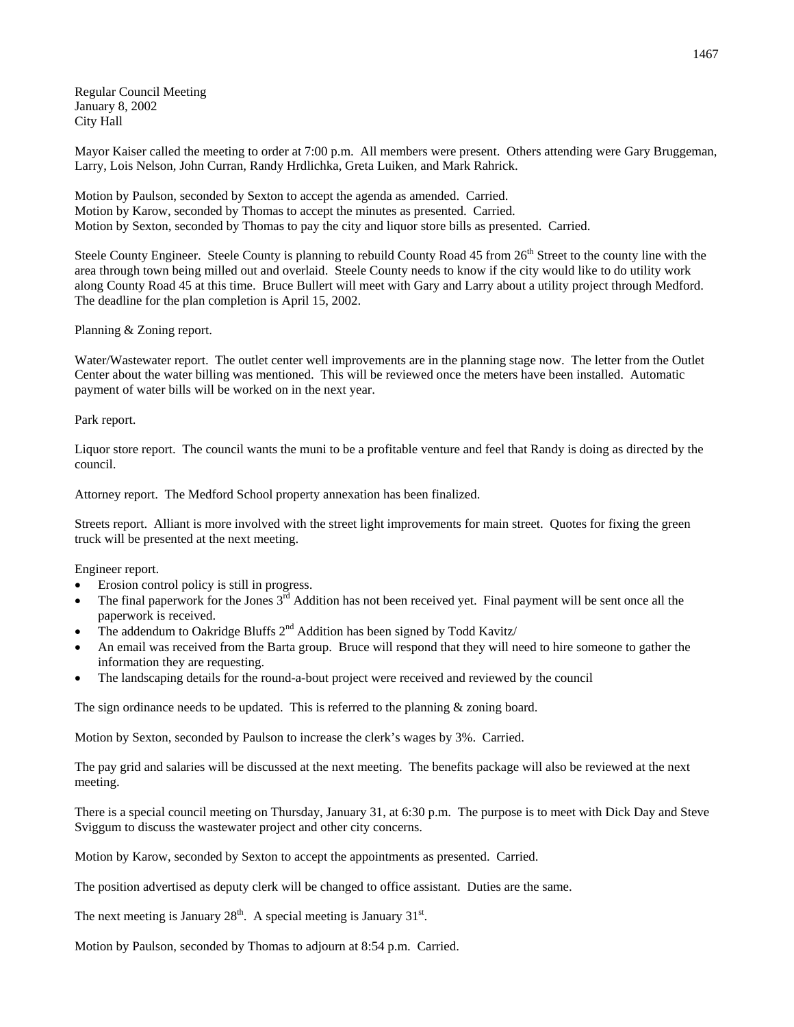Regular Council Meeting January 8, 2002 City Hall

Mayor Kaiser called the meeting to order at 7:00 p.m. All members were present. Others attending were Gary Bruggeman, Larry, Lois Nelson, John Curran, Randy Hrdlichka, Greta Luiken, and Mark Rahrick.

Motion by Paulson, seconded by Sexton to accept the agenda as amended. Carried. Motion by Karow, seconded by Thomas to accept the minutes as presented. Carried. Motion by Sexton, seconded by Thomas to pay the city and liquor store bills as presented. Carried.

Steele County Engineer. Steele County is planning to rebuild County Road 45 from 26<sup>th</sup> Street to the county line with the area through town being milled out and overlaid. Steele County needs to know if the city would like to do utility work along County Road 45 at this time. Bruce Bullert will meet with Gary and Larry about a utility project through Medford. The deadline for the plan completion is April 15, 2002.

## Planning & Zoning report.

Water/Wastewater report. The outlet center well improvements are in the planning stage now. The letter from the Outlet Center about the water billing was mentioned. This will be reviewed once the meters have been installed. Automatic payment of water bills will be worked on in the next year.

## Park report.

Liquor store report. The council wants the muni to be a profitable venture and feel that Randy is doing as directed by the council.

Attorney report. The Medford School property annexation has been finalized.

Streets report. Alliant is more involved with the street light improvements for main street. Quotes for fixing the green truck will be presented at the next meeting.

Engineer report.

- Erosion control policy is still in progress.
- The final paperwork for the Jones  $3<sup>rd</sup>$  Addition has not been received yet. Final payment will be sent once all the paperwork is received.
- The addendum to Oakridge Bluffs  $2<sup>nd</sup>$  Addition has been signed by Todd Kavitz/
- An email was received from the Barta group. Bruce will respond that they will need to hire someone to gather the information they are requesting.
- The landscaping details for the round-a-bout project were received and reviewed by the council

The sign ordinance needs to be updated. This is referred to the planning & zoning board.

Motion by Sexton, seconded by Paulson to increase the clerk's wages by 3%. Carried.

The pay grid and salaries will be discussed at the next meeting. The benefits package will also be reviewed at the next meeting.

There is a special council meeting on Thursday, January 31, at 6:30 p.m. The purpose is to meet with Dick Day and Steve Sviggum to discuss the wastewater project and other city concerns.

Motion by Karow, seconded by Sexton to accept the appointments as presented. Carried.

The position advertised as deputy clerk will be changed to office assistant. Duties are the same.

The next meeting is January  $28<sup>th</sup>$ . A special meeting is January  $31<sup>st</sup>$ .

Motion by Paulson, seconded by Thomas to adjourn at 8:54 p.m. Carried.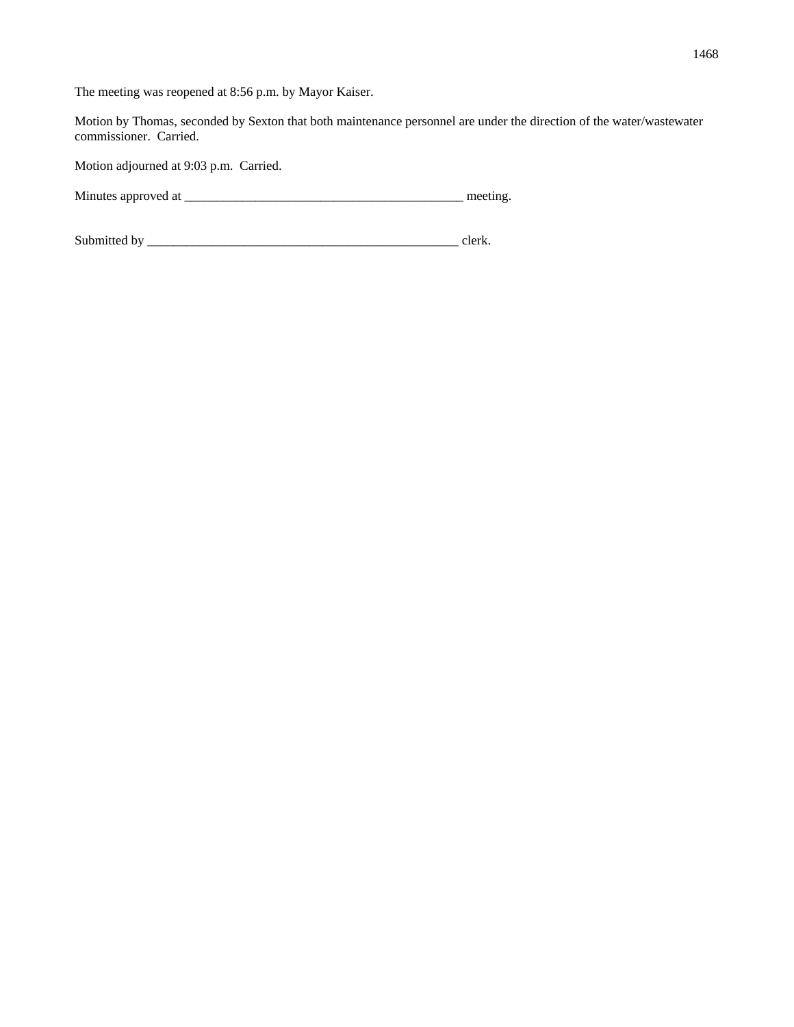The meeting was reopened at 8:56 p.m. by Mayor Kaiser.

Motion by Thomas, seconded by Sexton that both maintenance personnel are under the direction of the water/wastewater commissioner. Carried.

Motion adjourned at 9:03 p.m. Carried.

Minutes approved at \_\_\_\_\_\_\_\_\_\_\_\_\_\_\_\_\_\_\_\_\_\_\_\_\_\_\_\_\_\_\_\_\_\_\_\_\_\_\_\_\_\_\_ meeting.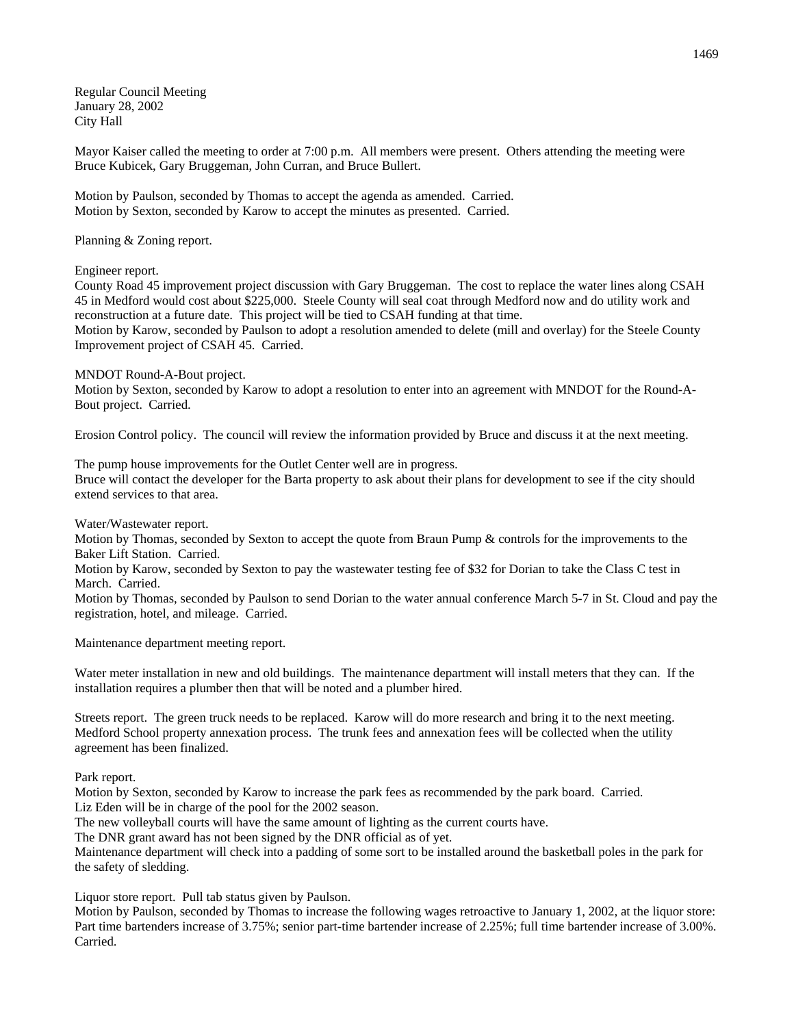Regular Council Meeting January 28, 2002 City Hall

Mayor Kaiser called the meeting to order at 7:00 p.m. All members were present. Others attending the meeting were Bruce Kubicek, Gary Bruggeman, John Curran, and Bruce Bullert.

Motion by Paulson, seconded by Thomas to accept the agenda as amended. Carried. Motion by Sexton, seconded by Karow to accept the minutes as presented. Carried.

Planning & Zoning report.

Engineer report.

County Road 45 improvement project discussion with Gary Bruggeman. The cost to replace the water lines along CSAH 45 in Medford would cost about \$225,000. Steele County will seal coat through Medford now and do utility work and reconstruction at a future date. This project will be tied to CSAH funding at that time.

Motion by Karow, seconded by Paulson to adopt a resolution amended to delete (mill and overlay) for the Steele County Improvement project of CSAH 45. Carried.

MNDOT Round-A-Bout project.

Motion by Sexton, seconded by Karow to adopt a resolution to enter into an agreement with MNDOT for the Round-A-Bout project. Carried.

Erosion Control policy. The council will review the information provided by Bruce and discuss it at the next meeting.

The pump house improvements for the Outlet Center well are in progress. Bruce will contact the developer for the Barta property to ask about their plans for development to see if the city should extend services to that area.

Water/Wastewater report.

Motion by Thomas, seconded by Sexton to accept the quote from Braun Pump & controls for the improvements to the Baker Lift Station. Carried.

Motion by Karow, seconded by Sexton to pay the wastewater testing fee of \$32 for Dorian to take the Class C test in March. Carried.

Motion by Thomas, seconded by Paulson to send Dorian to the water annual conference March 5-7 in St. Cloud and pay the registration, hotel, and mileage. Carried.

Maintenance department meeting report.

Water meter installation in new and old buildings. The maintenance department will install meters that they can. If the installation requires a plumber then that will be noted and a plumber hired.

Streets report. The green truck needs to be replaced. Karow will do more research and bring it to the next meeting. Medford School property annexation process. The trunk fees and annexation fees will be collected when the utility agreement has been finalized.

Park report.

Motion by Sexton, seconded by Karow to increase the park fees as recommended by the park board. Carried. Liz Eden will be in charge of the pool for the 2002 season.

The new volleyball courts will have the same amount of lighting as the current courts have.

The DNR grant award has not been signed by the DNR official as of yet.

Maintenance department will check into a padding of some sort to be installed around the basketball poles in the park for the safety of sledding.

Liquor store report. Pull tab status given by Paulson.

Motion by Paulson, seconded by Thomas to increase the following wages retroactive to January 1, 2002, at the liquor store: Part time bartenders increase of 3.75%; senior part-time bartender increase of 2.25%; full time bartender increase of 3.00%. Carried.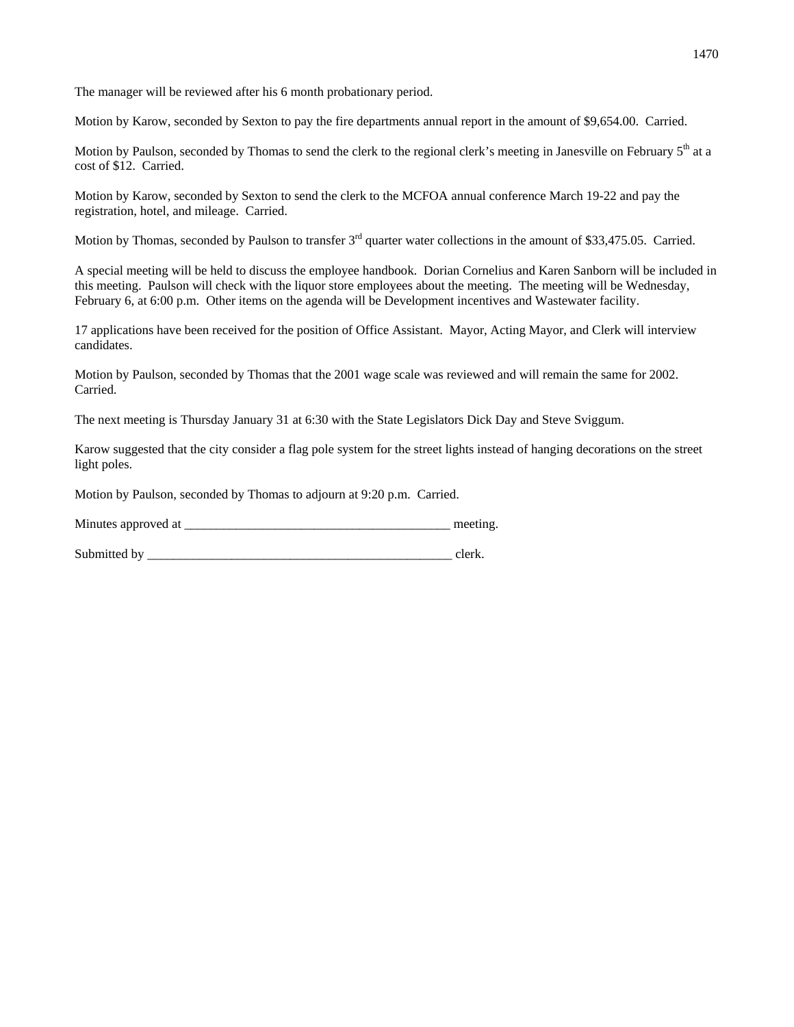The manager will be reviewed after his 6 month probationary period.

Motion by Karow, seconded by Sexton to pay the fire departments annual report in the amount of \$9,654.00. Carried.

Motion by Paulson, seconded by Thomas to send the clerk to the regional clerk's meeting in Janesville on February  $5<sup>th</sup>$  at a cost of \$12. Carried.

Motion by Karow, seconded by Sexton to send the clerk to the MCFOA annual conference March 19-22 and pay the registration, hotel, and mileage. Carried.

Motion by Thomas, seconded by Paulson to transfer 3<sup>rd</sup> quarter water collections in the amount of \$33,475.05. Carried.

A special meeting will be held to discuss the employee handbook. Dorian Cornelius and Karen Sanborn will be included in this meeting. Paulson will check with the liquor store employees about the meeting. The meeting will be Wednesday, February 6, at 6:00 p.m. Other items on the agenda will be Development incentives and Wastewater facility.

17 applications have been received for the position of Office Assistant. Mayor, Acting Mayor, and Clerk will interview candidates.

Motion by Paulson, seconded by Thomas that the 2001 wage scale was reviewed and will remain the same for 2002. Carried.

The next meeting is Thursday January 31 at 6:30 with the State Legislators Dick Day and Steve Sviggum.

Karow suggested that the city consider a flag pole system for the street lights instead of hanging decorations on the street light poles.

Motion by Paulson, seconded by Thomas to adjourn at 9:20 p.m. Carried.

| Minutes approved at |  | meeting |
|---------------------|--|---------|
|---------------------|--|---------|

Submitted by clerk.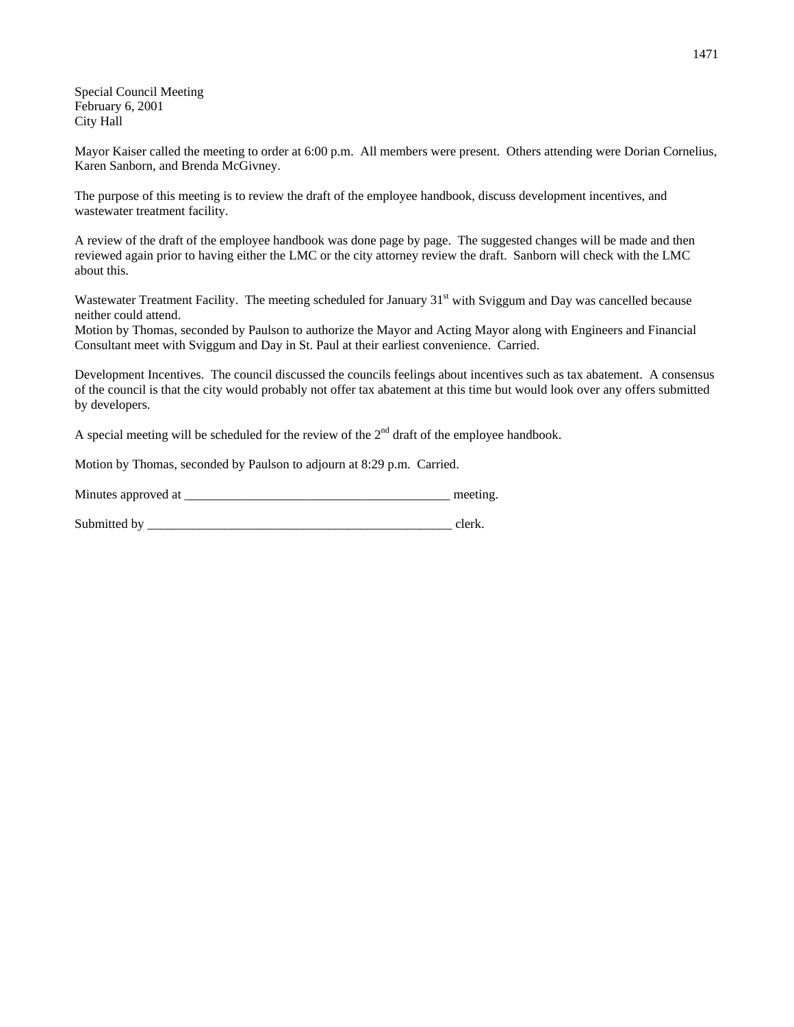Special Council Meeting February 6, 2001 City Hall

Mayor Kaiser called the meeting to order at 6:00 p.m. All members were present. Others attending were Dorian Cornelius, Karen Sanborn, and Brenda McGivney.

The purpose of this meeting is to review the draft of the employee handbook, discuss development incentives, and wastewater treatment facility.

A review of the draft of the employee handbook was done page by page. The suggested changes will be made and then reviewed again prior to having either the LMC or the city attorney review the draft. Sanborn will check with the LMC about this.

Wastewater Treatment Facility. The meeting scheduled for January 31<sup>st</sup> with Sviggum and Day was cancelled because neither could attend.

Motion by Thomas, seconded by Paulson to authorize the Mayor and Acting Mayor along with Engineers and Financial Consultant meet with Sviggum and Day in St. Paul at their earliest convenience. Carried.

Development Incentives. The council discussed the councils feelings about incentives such as tax abatement. A consensus of the council is that the city would probably not offer tax abatement at this time but would look over any offers submitted by developers.

A special meeting will be scheduled for the review of the  $2<sup>nd</sup>$  draft of the employee handbook.

Motion by Thomas, seconded by Paulson to adjourn at 8:29 p.m. Carried.

| Minutes approved at |  | meeting |
|---------------------|--|---------|
|---------------------|--|---------|

Submitted by event of the state of the state of the state of the state of the state of the state of the state of the state of the state of the state of the state of the state of the state of the state of the state of the s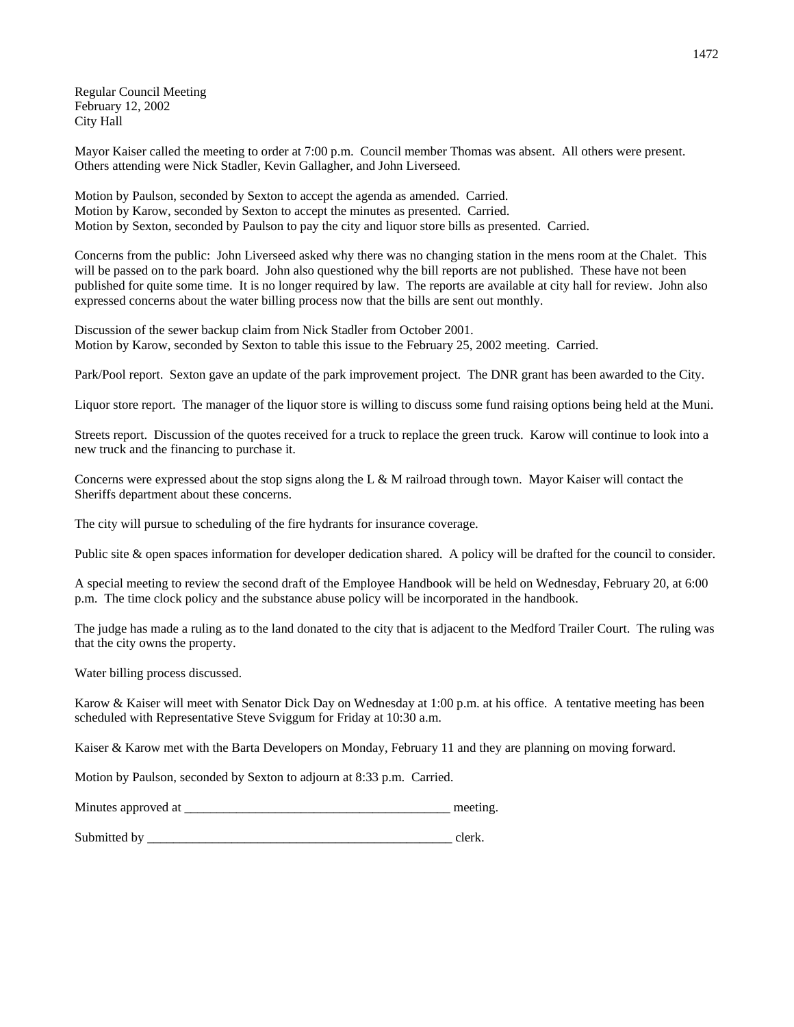Regular Council Meeting February 12, 2002 City Hall

Mayor Kaiser called the meeting to order at 7:00 p.m. Council member Thomas was absent. All others were present. Others attending were Nick Stadler, Kevin Gallagher, and John Liverseed.

Motion by Paulson, seconded by Sexton to accept the agenda as amended. Carried. Motion by Karow, seconded by Sexton to accept the minutes as presented. Carried. Motion by Sexton, seconded by Paulson to pay the city and liquor store bills as presented. Carried.

Concerns from the public: John Liverseed asked why there was no changing station in the mens room at the Chalet. This will be passed on to the park board. John also questioned why the bill reports are not published. These have not been published for quite some time. It is no longer required by law. The reports are available at city hall for review. John also expressed concerns about the water billing process now that the bills are sent out monthly.

Discussion of the sewer backup claim from Nick Stadler from October 2001. Motion by Karow, seconded by Sexton to table this issue to the February 25, 2002 meeting. Carried.

Park/Pool report. Sexton gave an update of the park improvement project. The DNR grant has been awarded to the City.

Liquor store report. The manager of the liquor store is willing to discuss some fund raising options being held at the Muni.

Streets report. Discussion of the quotes received for a truck to replace the green truck. Karow will continue to look into a new truck and the financing to purchase it.

Concerns were expressed about the stop signs along the L & M railroad through town. Mayor Kaiser will contact the Sheriffs department about these concerns.

The city will pursue to scheduling of the fire hydrants for insurance coverage.

Public site & open spaces information for developer dedication shared. A policy will be drafted for the council to consider.

A special meeting to review the second draft of the Employee Handbook will be held on Wednesday, February 20, at 6:00 p.m. The time clock policy and the substance abuse policy will be incorporated in the handbook.

The judge has made a ruling as to the land donated to the city that is adjacent to the Medford Trailer Court. The ruling was that the city owns the property.

Water billing process discussed.

Karow & Kaiser will meet with Senator Dick Day on Wednesday at 1:00 p.m. at his office. A tentative meeting has been scheduled with Representative Steve Sviggum for Friday at 10:30 a.m.

Kaiser & Karow met with the Barta Developers on Monday, February 11 and they are planning on moving forward.

Motion by Paulson, seconded by Sexton to adjourn at 8:33 p.m. Carried.

| Minutes approved at | meeting |
|---------------------|---------|
|                     |         |

Submitted by even clerk.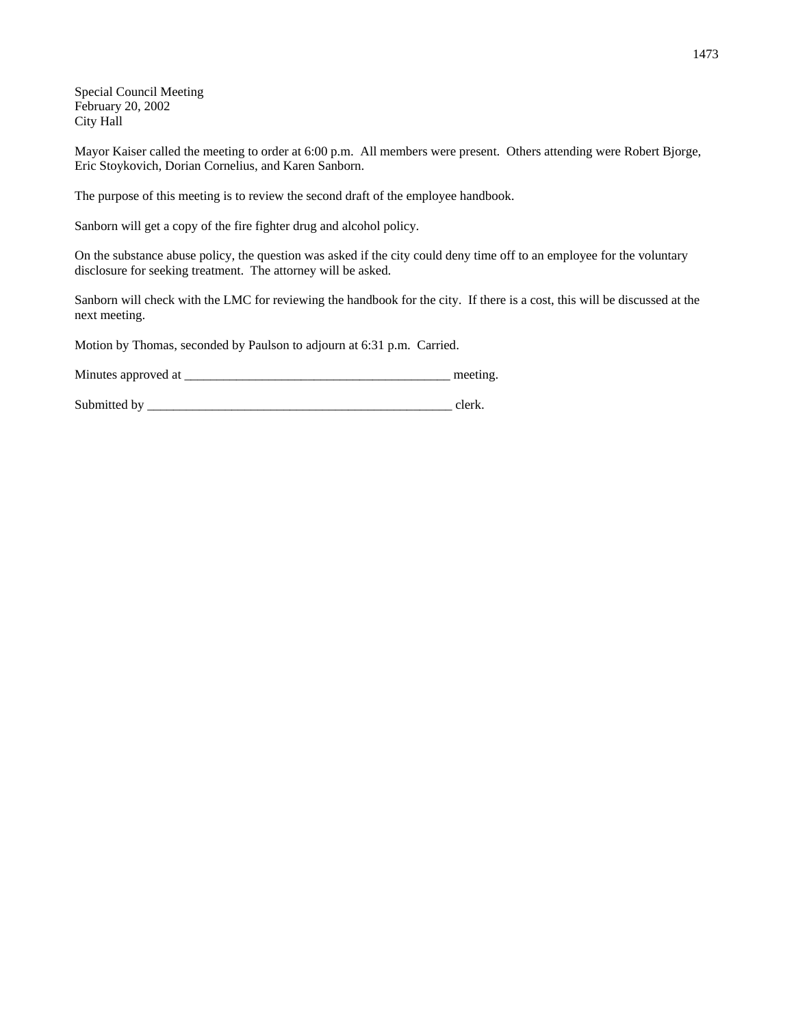Special Council Meeting February 20, 2002 City Hall

Mayor Kaiser called the meeting to order at 6:00 p.m. All members were present. Others attending were Robert Bjorge, Eric Stoykovich, Dorian Cornelius, and Karen Sanborn.

The purpose of this meeting is to review the second draft of the employee handbook.

Sanborn will get a copy of the fire fighter drug and alcohol policy.

On the substance abuse policy, the question was asked if the city could deny time off to an employee for the voluntary disclosure for seeking treatment. The attorney will be asked.

Sanborn will check with the LMC for reviewing the handbook for the city. If there is a cost, this will be discussed at the next meeting.

Motion by Thomas, seconded by Paulson to adjourn at 6:31 p.m. Carried.

Minutes approved at \_\_\_\_\_\_\_\_\_\_\_\_\_\_\_\_\_\_\_\_\_\_\_\_\_\_\_\_\_\_\_\_\_\_\_\_\_\_\_\_\_ meeting.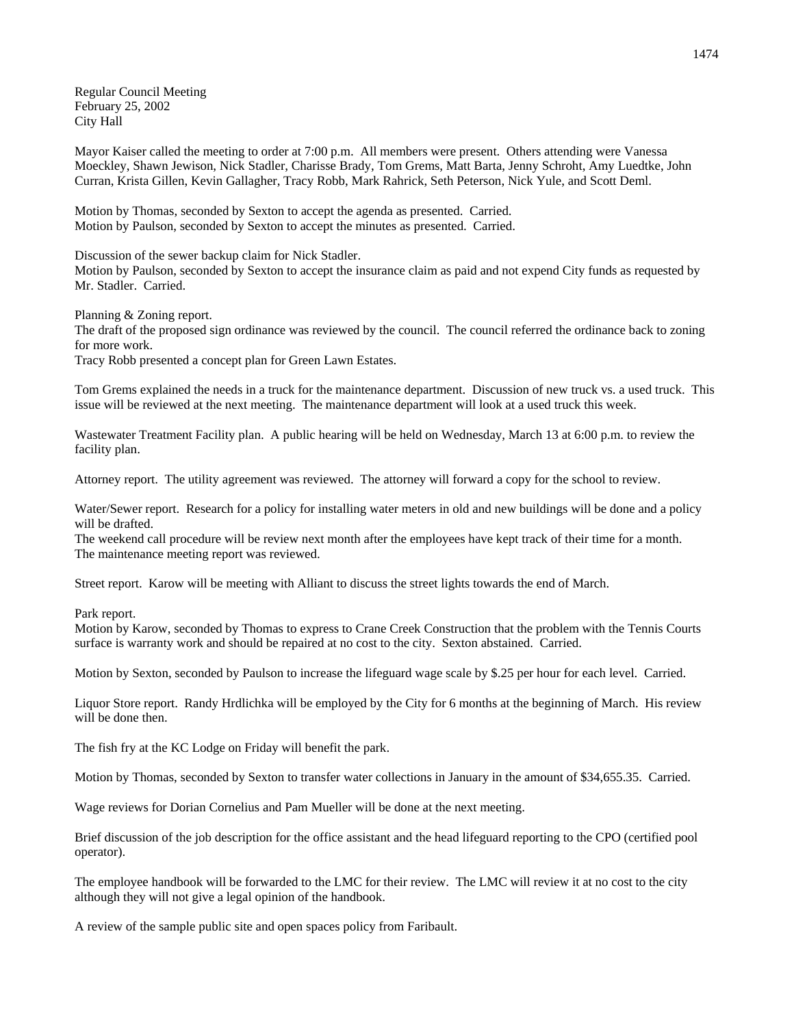Regular Council Meeting February 25, 2002 City Hall

Mayor Kaiser called the meeting to order at 7:00 p.m. All members were present. Others attending were Vanessa Moeckley, Shawn Jewison, Nick Stadler, Charisse Brady, Tom Grems, Matt Barta, Jenny Schroht, Amy Luedtke, John Curran, Krista Gillen, Kevin Gallagher, Tracy Robb, Mark Rahrick, Seth Peterson, Nick Yule, and Scott Deml.

Motion by Thomas, seconded by Sexton to accept the agenda as presented. Carried. Motion by Paulson, seconded by Sexton to accept the minutes as presented. Carried.

Discussion of the sewer backup claim for Nick Stadler.

Motion by Paulson, seconded by Sexton to accept the insurance claim as paid and not expend City funds as requested by Mr. Stadler. Carried.

Planning & Zoning report.

The draft of the proposed sign ordinance was reviewed by the council. The council referred the ordinance back to zoning for more work.

Tracy Robb presented a concept plan for Green Lawn Estates.

Tom Grems explained the needs in a truck for the maintenance department. Discussion of new truck vs. a used truck. This issue will be reviewed at the next meeting. The maintenance department will look at a used truck this week.

Wastewater Treatment Facility plan. A public hearing will be held on Wednesday, March 13 at 6:00 p.m. to review the facility plan.

Attorney report. The utility agreement was reviewed. The attorney will forward a copy for the school to review.

Water/Sewer report. Research for a policy for installing water meters in old and new buildings will be done and a policy will be drafted.

The weekend call procedure will be review next month after the employees have kept track of their time for a month. The maintenance meeting report was reviewed.

Street report. Karow will be meeting with Alliant to discuss the street lights towards the end of March.

Park report.

Motion by Karow, seconded by Thomas to express to Crane Creek Construction that the problem with the Tennis Courts surface is warranty work and should be repaired at no cost to the city. Sexton abstained. Carried.

Motion by Sexton, seconded by Paulson to increase the lifeguard wage scale by \$.25 per hour for each level. Carried.

Liquor Store report. Randy Hrdlichka will be employed by the City for 6 months at the beginning of March. His review will be done then.

The fish fry at the KC Lodge on Friday will benefit the park.

Motion by Thomas, seconded by Sexton to transfer water collections in January in the amount of \$34,655.35. Carried.

Wage reviews for Dorian Cornelius and Pam Mueller will be done at the next meeting.

Brief discussion of the job description for the office assistant and the head lifeguard reporting to the CPO (certified pool operator).

The employee handbook will be forwarded to the LMC for their review. The LMC will review it at no cost to the city although they will not give a legal opinion of the handbook.

A review of the sample public site and open spaces policy from Faribault.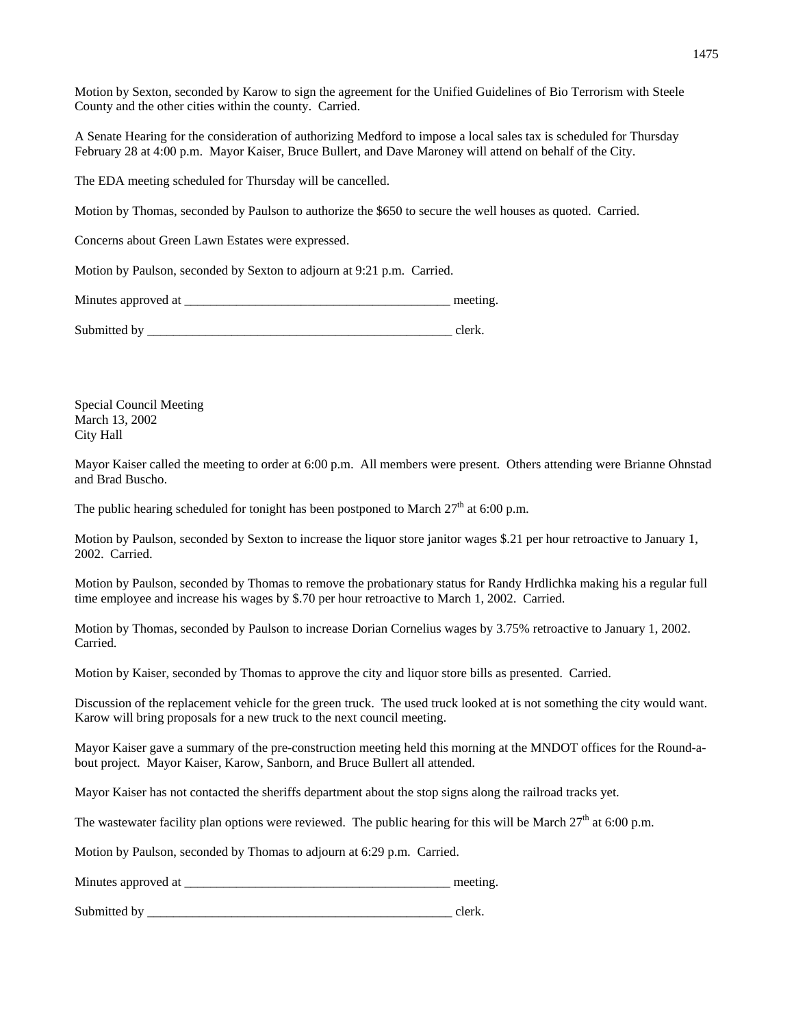Motion by Sexton, seconded by Karow to sign the agreement for the Unified Guidelines of Bio Terrorism with Steele County and the other cities within the county. Carried.

A Senate Hearing for the consideration of authorizing Medford to impose a local sales tax is scheduled for Thursday February 28 at 4:00 p.m. Mayor Kaiser, Bruce Bullert, and Dave Maroney will attend on behalf of the City.

The EDA meeting scheduled for Thursday will be cancelled.

Motion by Thomas, seconded by Paulson to authorize the \$650 to secure the well houses as quoted. Carried.

Concerns about Green Lawn Estates were expressed.

Motion by Paulson, seconded by Sexton to adjourn at 9:21 p.m. Carried.

Minutes approved at \_\_\_\_\_\_\_\_\_\_\_\_\_\_\_\_\_\_\_\_\_\_\_\_\_\_\_\_\_\_\_\_\_\_\_\_\_\_\_\_\_ meeting.

Submitted by event of the set of the set of the set of the set of the set of the set of the set of the set of the set of the set of the set of the set of the set of the set of the set of the set of the set of the set of th

Special Council Meeting March 13, 2002 City Hall

Mayor Kaiser called the meeting to order at 6:00 p.m. All members were present. Others attending were Brianne Ohnstad and Brad Buscho.

The public hearing scheduled for tonight has been postponed to March  $27<sup>th</sup>$  at 6:00 p.m.

Motion by Paulson, seconded by Sexton to increase the liquor store janitor wages \$.21 per hour retroactive to January 1, 2002. Carried.

Motion by Paulson, seconded by Thomas to remove the probationary status for Randy Hrdlichka making his a regular full time employee and increase his wages by \$.70 per hour retroactive to March 1, 2002. Carried.

Motion by Thomas, seconded by Paulson to increase Dorian Cornelius wages by 3.75% retroactive to January 1, 2002. Carried.

Motion by Kaiser, seconded by Thomas to approve the city and liquor store bills as presented. Carried.

Discussion of the replacement vehicle for the green truck. The used truck looked at is not something the city would want. Karow will bring proposals for a new truck to the next council meeting.

Mayor Kaiser gave a summary of the pre-construction meeting held this morning at the MNDOT offices for the Round-about project. Mayor Kaiser, Karow, Sanborn, and Bruce Bullert all attended.

Mayor Kaiser has not contacted the sheriffs department about the stop signs along the railroad tracks yet.

The wastewater facility plan options were reviewed. The public hearing for this will be March  $27<sup>th</sup>$  at 6:00 p.m.

Motion by Paulson, seconded by Thomas to adjourn at 6:29 p.m. Carried.

Minutes approved at the setting and the setting meeting.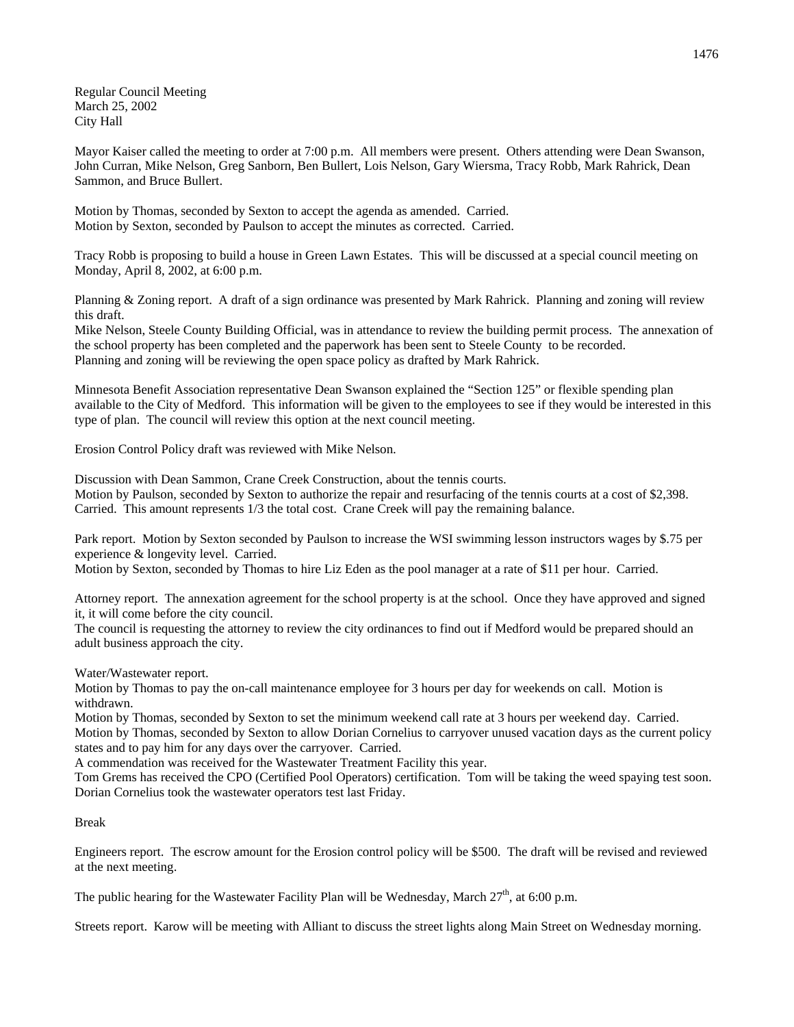Regular Council Meeting March 25, 2002 City Hall

Mayor Kaiser called the meeting to order at 7:00 p.m. All members were present. Others attending were Dean Swanson, John Curran, Mike Nelson, Greg Sanborn, Ben Bullert, Lois Nelson, Gary Wiersma, Tracy Robb, Mark Rahrick, Dean Sammon, and Bruce Bullert.

Motion by Thomas, seconded by Sexton to accept the agenda as amended. Carried. Motion by Sexton, seconded by Paulson to accept the minutes as corrected. Carried.

Tracy Robb is proposing to build a house in Green Lawn Estates. This will be discussed at a special council meeting on Monday, April 8, 2002, at 6:00 p.m.

Planning & Zoning report. A draft of a sign ordinance was presented by Mark Rahrick. Planning and zoning will review this draft.

Mike Nelson, Steele County Building Official, was in attendance to review the building permit process. The annexation of the school property has been completed and the paperwork has been sent to Steele County to be recorded. Planning and zoning will be reviewing the open space policy as drafted by Mark Rahrick.

Minnesota Benefit Association representative Dean Swanson explained the "Section 125" or flexible spending plan available to the City of Medford. This information will be given to the employees to see if they would be interested in this type of plan. The council will review this option at the next council meeting.

Erosion Control Policy draft was reviewed with Mike Nelson.

Discussion with Dean Sammon, Crane Creek Construction, about the tennis courts. Motion by Paulson, seconded by Sexton to authorize the repair and resurfacing of the tennis courts at a cost of \$2,398. Carried. This amount represents 1/3 the total cost. Crane Creek will pay the remaining balance.

Park report. Motion by Sexton seconded by Paulson to increase the WSI swimming lesson instructors wages by \$.75 per experience & longevity level. Carried.

Motion by Sexton, seconded by Thomas to hire Liz Eden as the pool manager at a rate of \$11 per hour. Carried.

Attorney report. The annexation agreement for the school property is at the school. Once they have approved and signed it, it will come before the city council.

The council is requesting the attorney to review the city ordinances to find out if Medford would be prepared should an adult business approach the city.

Water/Wastewater report.

Motion by Thomas to pay the on-call maintenance employee for 3 hours per day for weekends on call. Motion is withdrawn.

Motion by Thomas, seconded by Sexton to set the minimum weekend call rate at 3 hours per weekend day. Carried. Motion by Thomas, seconded by Sexton to allow Dorian Cornelius to carryover unused vacation days as the current policy states and to pay him for any days over the carryover. Carried.

A commendation was received for the Wastewater Treatment Facility this year.

Tom Grems has received the CPO (Certified Pool Operators) certification. Tom will be taking the weed spaying test soon. Dorian Cornelius took the wastewater operators test last Friday.

## Break

Engineers report. The escrow amount for the Erosion control policy will be \$500. The draft will be revised and reviewed at the next meeting.

The public hearing for the Wastewater Facility Plan will be Wednesday, March  $27<sup>th</sup>$ , at 6:00 p.m.

Streets report. Karow will be meeting with Alliant to discuss the street lights along Main Street on Wednesday morning.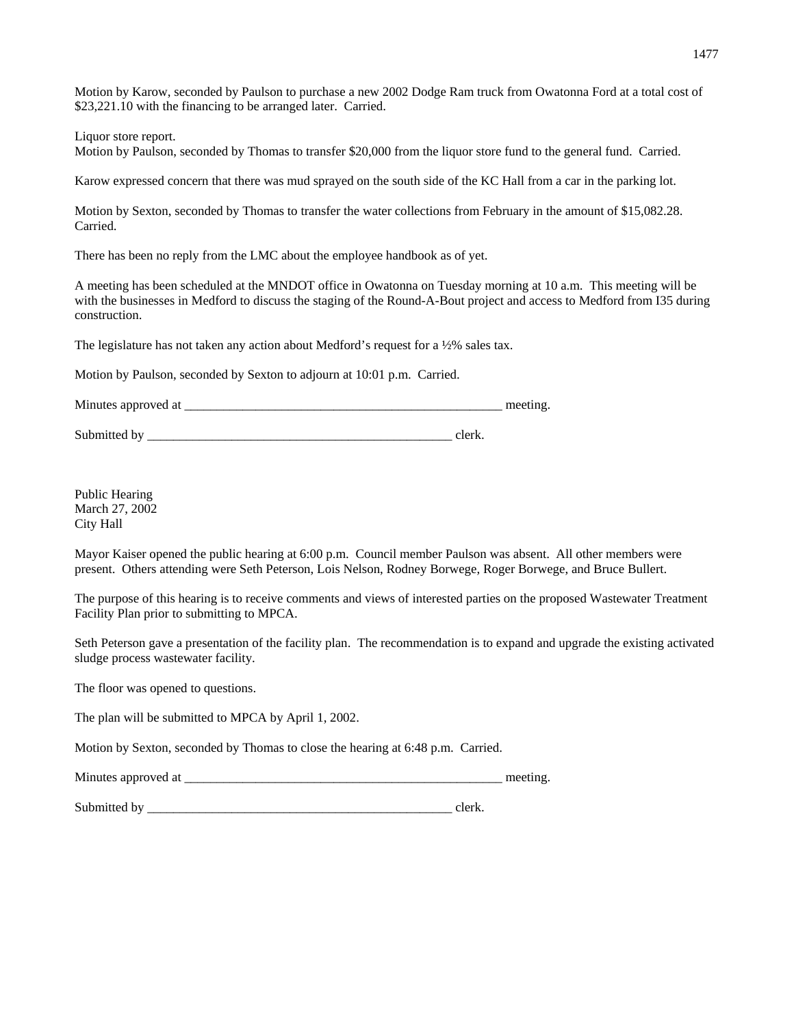Motion by Karow, seconded by Paulson to purchase a new 2002 Dodge Ram truck from Owatonna Ford at a total cost of \$23,221.10 with the financing to be arranged later. Carried.

Liquor store report.

Motion by Paulson, seconded by Thomas to transfer \$20,000 from the liquor store fund to the general fund. Carried.

Karow expressed concern that there was mud sprayed on the south side of the KC Hall from a car in the parking lot.

Motion by Sexton, seconded by Thomas to transfer the water collections from February in the amount of \$15,082.28. Carried.

There has been no reply from the LMC about the employee handbook as of yet.

A meeting has been scheduled at the MNDOT office in Owatonna on Tuesday morning at 10 a.m. This meeting will be with the businesses in Medford to discuss the staging of the Round-A-Bout project and access to Medford from I35 during construction.

The legislature has not taken any action about Medford's request for a ½% sales tax.

Motion by Paulson, seconded by Sexton to adjourn at 10:01 p.m. Carried.

Minutes approved at \_\_\_\_\_\_\_\_\_\_\_\_\_\_\_\_\_\_\_\_\_\_\_\_\_\_\_\_\_\_\_\_\_\_\_\_\_\_\_\_\_\_\_\_\_\_\_\_\_ meeting.

Submitted by \_\_\_\_\_\_\_\_\_\_\_\_\_\_\_\_\_\_\_\_\_\_\_\_\_\_\_\_\_\_\_\_\_\_\_\_\_\_\_\_\_\_\_\_\_\_\_ clerk.

Public Hearing March 27, 2002 City Hall

Mayor Kaiser opened the public hearing at 6:00 p.m. Council member Paulson was absent. All other members were present. Others attending were Seth Peterson, Lois Nelson, Rodney Borwege, Roger Borwege, and Bruce Bullert.

The purpose of this hearing is to receive comments and views of interested parties on the proposed Wastewater Treatment Facility Plan prior to submitting to MPCA.

Seth Peterson gave a presentation of the facility plan. The recommendation is to expand and upgrade the existing activated sludge process wastewater facility.

The floor was opened to questions.

The plan will be submitted to MPCA by April 1, 2002.

Motion by Sexton, seconded by Thomas to close the hearing at 6:48 p.m. Carried.

Minutes approved at \_\_\_\_\_\_\_\_\_\_\_\_\_\_\_\_\_\_\_\_\_\_\_\_\_\_\_\_\_\_\_\_\_\_\_\_\_\_\_\_\_\_\_\_\_\_\_\_\_ meeting.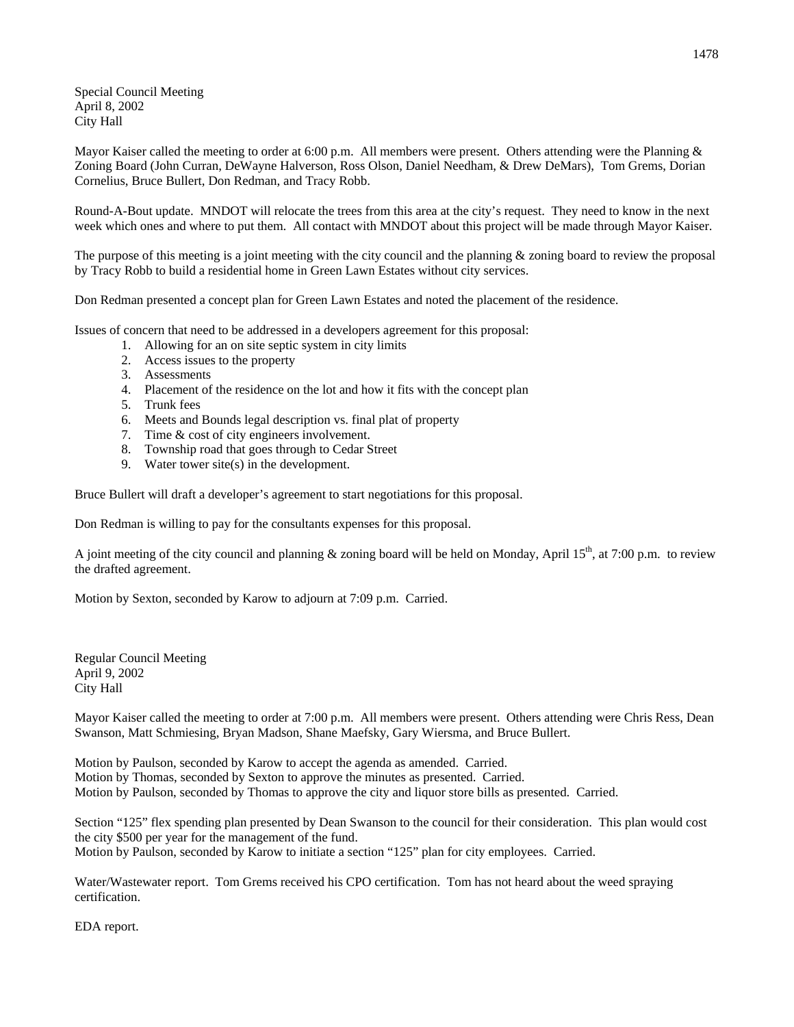Special Council Meeting April 8, 2002 City Hall

Mayor Kaiser called the meeting to order at 6:00 p.m. All members were present. Others attending were the Planning  $\&$ Zoning Board (John Curran, DeWayne Halverson, Ross Olson, Daniel Needham, & Drew DeMars), Tom Grems, Dorian Cornelius, Bruce Bullert, Don Redman, and Tracy Robb.

Round-A-Bout update. MNDOT will relocate the trees from this area at the city's request. They need to know in the next week which ones and where to put them. All contact with MNDOT about this project will be made through Mayor Kaiser.

The purpose of this meeting is a joint meeting with the city council and the planning  $\&$  zoning board to review the proposal by Tracy Robb to build a residential home in Green Lawn Estates without city services.

Don Redman presented a concept plan for Green Lawn Estates and noted the placement of the residence.

Issues of concern that need to be addressed in a developers agreement for this proposal:

- 1. Allowing for an on site septic system in city limits
- 2. Access issues to the property
- 3. Assessments
- 4. Placement of the residence on the lot and how it fits with the concept plan
- 5. Trunk fees
- 6. Meets and Bounds legal description vs. final plat of property
- 7. Time & cost of city engineers involvement.
- 8. Township road that goes through to Cedar Street
- 9. Water tower site(s) in the development.

Bruce Bullert will draft a developer's agreement to start negotiations for this proposal.

Don Redman is willing to pay for the consultants expenses for this proposal.

A joint meeting of the city council and planning & zoning board will be held on Monday, April 15<sup>th</sup>, at 7:00 p.m. to review the drafted agreement.

Motion by Sexton, seconded by Karow to adjourn at 7:09 p.m. Carried.

Regular Council Meeting April 9, 2002 City Hall

Mayor Kaiser called the meeting to order at 7:00 p.m. All members were present. Others attending were Chris Ress, Dean Swanson, Matt Schmiesing, Bryan Madson, Shane Maefsky, Gary Wiersma, and Bruce Bullert.

Motion by Paulson, seconded by Karow to accept the agenda as amended. Carried. Motion by Thomas, seconded by Sexton to approve the minutes as presented. Carried. Motion by Paulson, seconded by Thomas to approve the city and liquor store bills as presented. Carried.

Section "125" flex spending plan presented by Dean Swanson to the council for their consideration. This plan would cost the city \$500 per year for the management of the fund. Motion by Paulson, seconded by Karow to initiate a section "125" plan for city employees. Carried.

Water/Wastewater report. Tom Grems received his CPO certification. Tom has not heard about the weed spraying certification.

EDA report.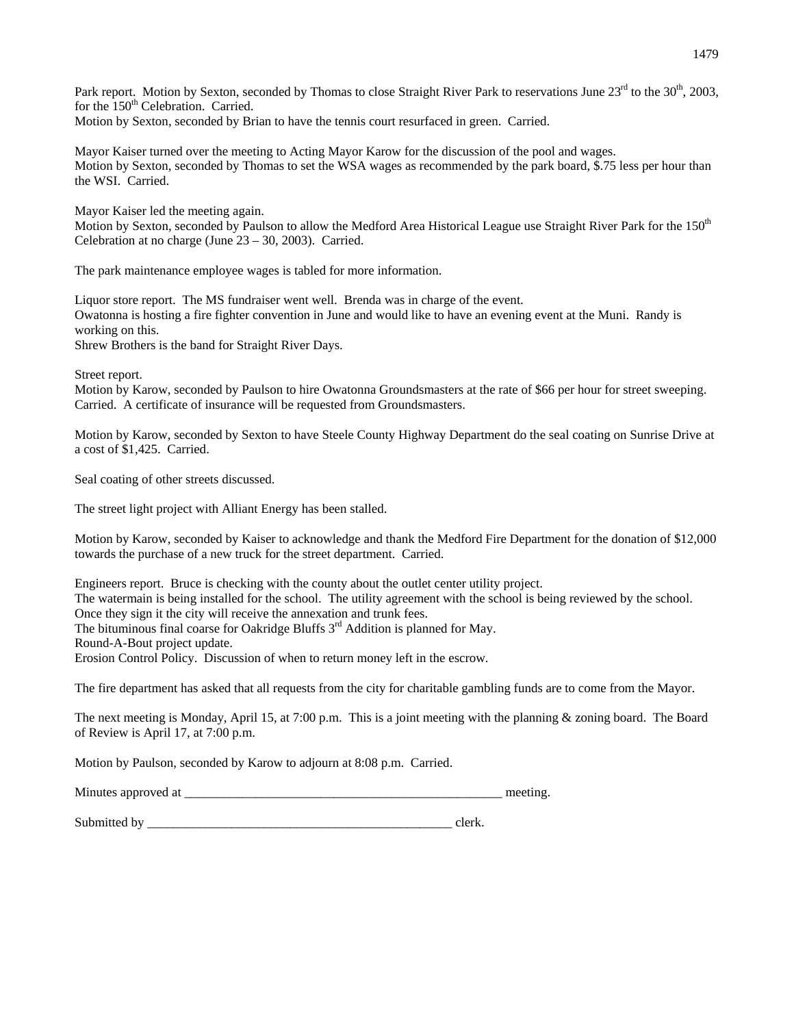Park report. Motion by Sexton, seconded by Thomas to close Straight River Park to reservations June  $23^{rd}$  to the  $30^{th}$ , 2003, for the 150<sup>th</sup> Celebration. Carried. Motion by Sexton, seconded by Brian to have the tennis court resurfaced in green. Carried.

Mayor Kaiser turned over the meeting to Acting Mayor Karow for the discussion of the pool and wages. Motion by Sexton, seconded by Thomas to set the WSA wages as recommended by the park board, \$.75 less per hour than the WSI. Carried.

Mayor Kaiser led the meeting again. Motion by Sexton, seconded by Paulson to allow the Medford Area Historical League use Straight River Park for the 150<sup>th</sup> Celebration at no charge (June 23 – 30, 2003). Carried.

The park maintenance employee wages is tabled for more information.

Liquor store report. The MS fundraiser went well. Brenda was in charge of the event. Owatonna is hosting a fire fighter convention in June and would like to have an evening event at the Muni. Randy is working on this. Shrew Brothers is the band for Straight River Days.

Street report.

Motion by Karow, seconded by Paulson to hire Owatonna Groundsmasters at the rate of \$66 per hour for street sweeping. Carried. A certificate of insurance will be requested from Groundsmasters.

Motion by Karow, seconded by Sexton to have Steele County Highway Department do the seal coating on Sunrise Drive at a cost of \$1,425. Carried.

Seal coating of other streets discussed.

The street light project with Alliant Energy has been stalled.

Motion by Karow, seconded by Kaiser to acknowledge and thank the Medford Fire Department for the donation of \$12,000 towards the purchase of a new truck for the street department. Carried.

Engineers report. Bruce is checking with the county about the outlet center utility project. The watermain is being installed for the school. The utility agreement with the school is being reviewed by the school. Once they sign it the city will receive the annexation and trunk fees. The bituminous final coarse for Oakridge Bluffs  $3<sup>rd</sup>$  Addition is planned for May.

Round-A-Bout project update.

Erosion Control Policy. Discussion of when to return money left in the escrow.

The fire department has asked that all requests from the city for charitable gambling funds are to come from the Mayor.

The next meeting is Monday, April 15, at 7:00 p.m. This is a joint meeting with the planning & zoning board. The Board of Review is April 17, at 7:00 p.m.

Motion by Paulson, seconded by Karow to adjourn at 8:08 p.m. Carried.

Minutes approved at \_\_\_\_\_\_\_\_\_\_\_\_\_\_\_\_\_\_\_\_\_\_\_\_\_\_\_\_\_\_\_\_\_\_\_\_\_\_\_\_\_\_\_\_\_\_\_\_\_ meeting.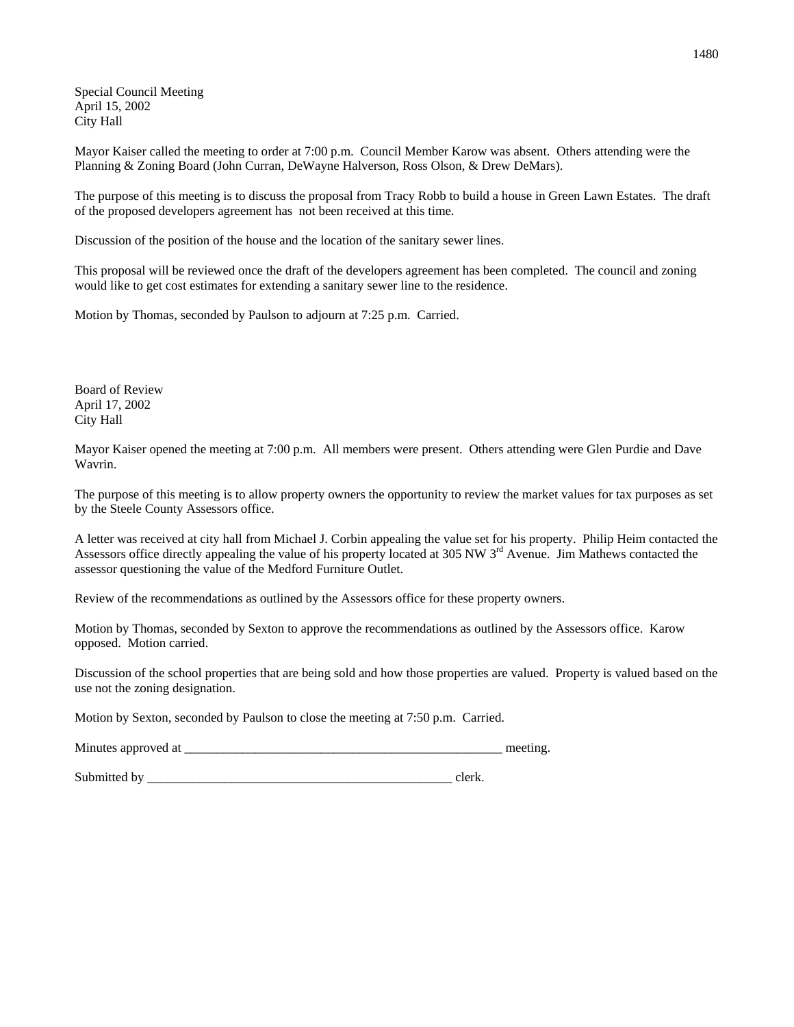Special Council Meeting April 15, 2002 City Hall

Mayor Kaiser called the meeting to order at 7:00 p.m. Council Member Karow was absent. Others attending were the Planning & Zoning Board (John Curran, DeWayne Halverson, Ross Olson, & Drew DeMars).

The purpose of this meeting is to discuss the proposal from Tracy Robb to build a house in Green Lawn Estates. The draft of the proposed developers agreement has not been received at this time.

Discussion of the position of the house and the location of the sanitary sewer lines.

This proposal will be reviewed once the draft of the developers agreement has been completed. The council and zoning would like to get cost estimates for extending a sanitary sewer line to the residence.

Motion by Thomas, seconded by Paulson to adjourn at 7:25 p.m. Carried.

Board of Review April 17, 2002 City Hall

Mayor Kaiser opened the meeting at 7:00 p.m. All members were present. Others attending were Glen Purdie and Dave Wavrin.

The purpose of this meeting is to allow property owners the opportunity to review the market values for tax purposes as set by the Steele County Assessors office.

A letter was received at city hall from Michael J. Corbin appealing the value set for his property. Philip Heim contacted the Assessors office directly appealing the value of his property located at 305 NW  $3<sup>rd</sup>$  Avenue. Jim Mathews contacted the assessor questioning the value of the Medford Furniture Outlet.

Review of the recommendations as outlined by the Assessors office for these property owners.

Motion by Thomas, seconded by Sexton to approve the recommendations as outlined by the Assessors office. Karow opposed. Motion carried.

Discussion of the school properties that are being sold and how those properties are valued. Property is valued based on the use not the zoning designation.

Motion by Sexton, seconded by Paulson to close the meeting at 7:50 p.m. Carried.

Minutes approved at \_\_\_\_\_\_\_\_\_\_\_\_\_\_\_\_\_\_\_\_\_\_\_\_\_\_\_\_\_\_\_\_\_\_\_\_\_\_\_\_\_\_\_\_\_\_\_\_\_ meeting.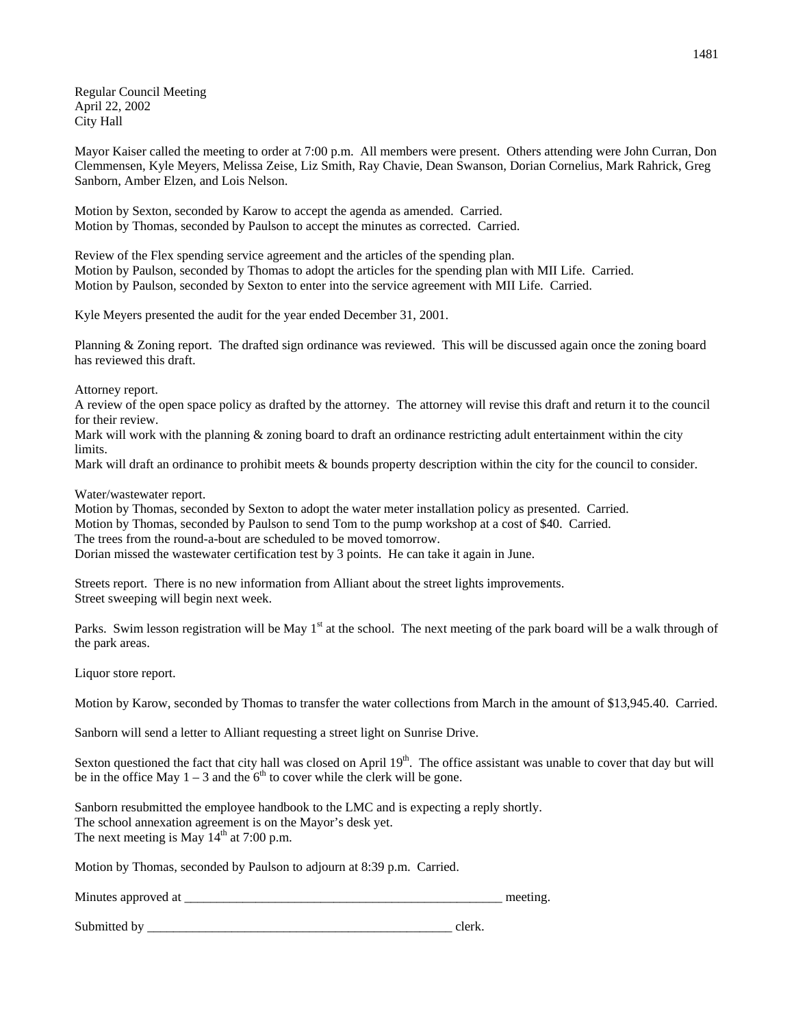Regular Council Meeting April 22, 2002 City Hall

Mayor Kaiser called the meeting to order at 7:00 p.m. All members were present. Others attending were John Curran, Don Clemmensen, Kyle Meyers, Melissa Zeise, Liz Smith, Ray Chavie, Dean Swanson, Dorian Cornelius, Mark Rahrick, Greg Sanborn, Amber Elzen, and Lois Nelson.

Motion by Sexton, seconded by Karow to accept the agenda as amended. Carried. Motion by Thomas, seconded by Paulson to accept the minutes as corrected. Carried.

Review of the Flex spending service agreement and the articles of the spending plan. Motion by Paulson, seconded by Thomas to adopt the articles for the spending plan with MII Life. Carried. Motion by Paulson, seconded by Sexton to enter into the service agreement with MII Life. Carried.

Kyle Meyers presented the audit for the year ended December 31, 2001.

Planning & Zoning report. The drafted sign ordinance was reviewed. This will be discussed again once the zoning board has reviewed this draft.

Attorney report.

A review of the open space policy as drafted by the attorney. The attorney will revise this draft and return it to the council for their review.

Mark will work with the planning  $\&$  zoning board to draft an ordinance restricting adult entertainment within the city limits.

Mark will draft an ordinance to prohibit meets & bounds property description within the city for the council to consider.

Water/wastewater report.

Motion by Thomas, seconded by Sexton to adopt the water meter installation policy as presented. Carried. Motion by Thomas, seconded by Paulson to send Tom to the pump workshop at a cost of \$40. Carried. The trees from the round-a-bout are scheduled to be moved tomorrow. Dorian missed the wastewater certification test by 3 points. He can take it again in June.

Streets report. There is no new information from Alliant about the street lights improvements. Street sweeping will begin next week.

Parks. Swim lesson registration will be May  $1<sup>st</sup>$  at the school. The next meeting of the park board will be a walk through of the park areas.

Liquor store report.

Motion by Karow, seconded by Thomas to transfer the water collections from March in the amount of \$13,945.40. Carried.

Sanborn will send a letter to Alliant requesting a street light on Sunrise Drive.

Sexton questioned the fact that city hall was closed on April  $19<sup>th</sup>$ . The office assistant was unable to cover that day but will be in the office May  $1 - 3$  and the 6<sup>th</sup> to cover while the clerk will be gone.

Sanborn resubmitted the employee handbook to the LMC and is expecting a reply shortly. The school annexation agreement is on the Mayor's desk yet. The next meeting is May  $14<sup>th</sup>$  at 7:00 p.m.

Motion by Thomas, seconded by Paulson to adjourn at 8:39 p.m. Carried.

Minutes approved at \_\_\_\_\_\_\_\_\_\_\_\_\_\_\_\_\_\_\_\_\_\_\_\_\_\_\_\_\_\_\_\_\_\_\_\_\_\_\_\_\_\_\_\_\_\_\_\_\_ meeting.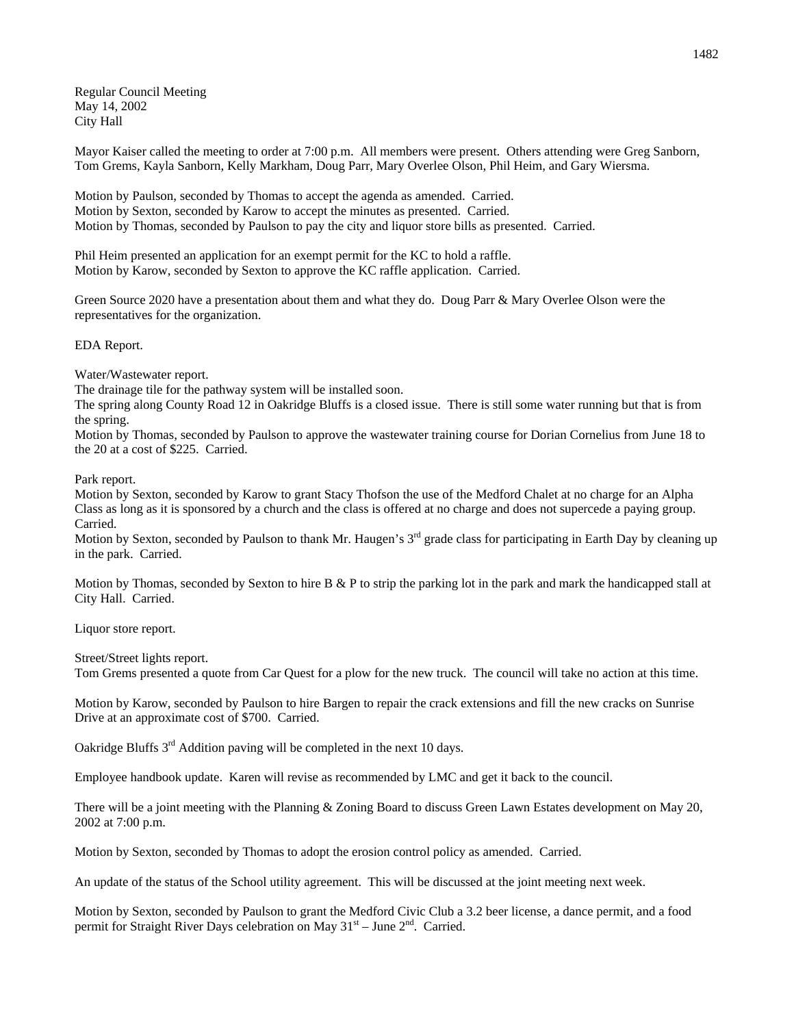Regular Council Meeting May 14, 2002 City Hall

Mayor Kaiser called the meeting to order at 7:00 p.m. All members were present. Others attending were Greg Sanborn, Tom Grems, Kayla Sanborn, Kelly Markham, Doug Parr, Mary Overlee Olson, Phil Heim, and Gary Wiersma.

Motion by Paulson, seconded by Thomas to accept the agenda as amended. Carried. Motion by Sexton, seconded by Karow to accept the minutes as presented. Carried. Motion by Thomas, seconded by Paulson to pay the city and liquor store bills as presented. Carried.

Phil Heim presented an application for an exempt permit for the KC to hold a raffle. Motion by Karow, seconded by Sexton to approve the KC raffle application. Carried.

Green Source 2020 have a presentation about them and what they do. Doug Parr & Mary Overlee Olson were the representatives for the organization.

EDA Report.

Water/Wastewater report.

The drainage tile for the pathway system will be installed soon.

The spring along County Road 12 in Oakridge Bluffs is a closed issue. There is still some water running but that is from the spring.

Motion by Thomas, seconded by Paulson to approve the wastewater training course for Dorian Cornelius from June 18 to the 20 at a cost of \$225. Carried.

Park report.

Motion by Sexton, seconded by Karow to grant Stacy Thofson the use of the Medford Chalet at no charge for an Alpha Class as long as it is sponsored by a church and the class is offered at no charge and does not supercede a paying group. Carried.

Motion by Sexton, seconded by Paulson to thank Mr. Haugen's 3<sup>rd</sup> grade class for participating in Earth Day by cleaning up in the park. Carried.

Motion by Thomas, seconded by Sexton to hire  $B \& P$  to strip the parking lot in the park and mark the handicapped stall at City Hall. Carried.

Liquor store report.

Street/Street lights report.

Tom Grems presented a quote from Car Quest for a plow for the new truck. The council will take no action at this time.

Motion by Karow, seconded by Paulson to hire Bargen to repair the crack extensions and fill the new cracks on Sunrise Drive at an approximate cost of \$700. Carried.

Oakridge Bluffs 3<sup>rd</sup> Addition paving will be completed in the next 10 days.

Employee handbook update. Karen will revise as recommended by LMC and get it back to the council.

There will be a joint meeting with the Planning & Zoning Board to discuss Green Lawn Estates development on May 20, 2002 at 7:00 p.m.

Motion by Sexton, seconded by Thomas to adopt the erosion control policy as amended. Carried.

An update of the status of the School utility agreement. This will be discussed at the joint meeting next week.

Motion by Sexton, seconded by Paulson to grant the Medford Civic Club a 3.2 beer license, a dance permit, and a food permit for Straight River Days celebration on May  $31<sup>st</sup>$  – June  $2<sup>nd</sup>$ . Carried.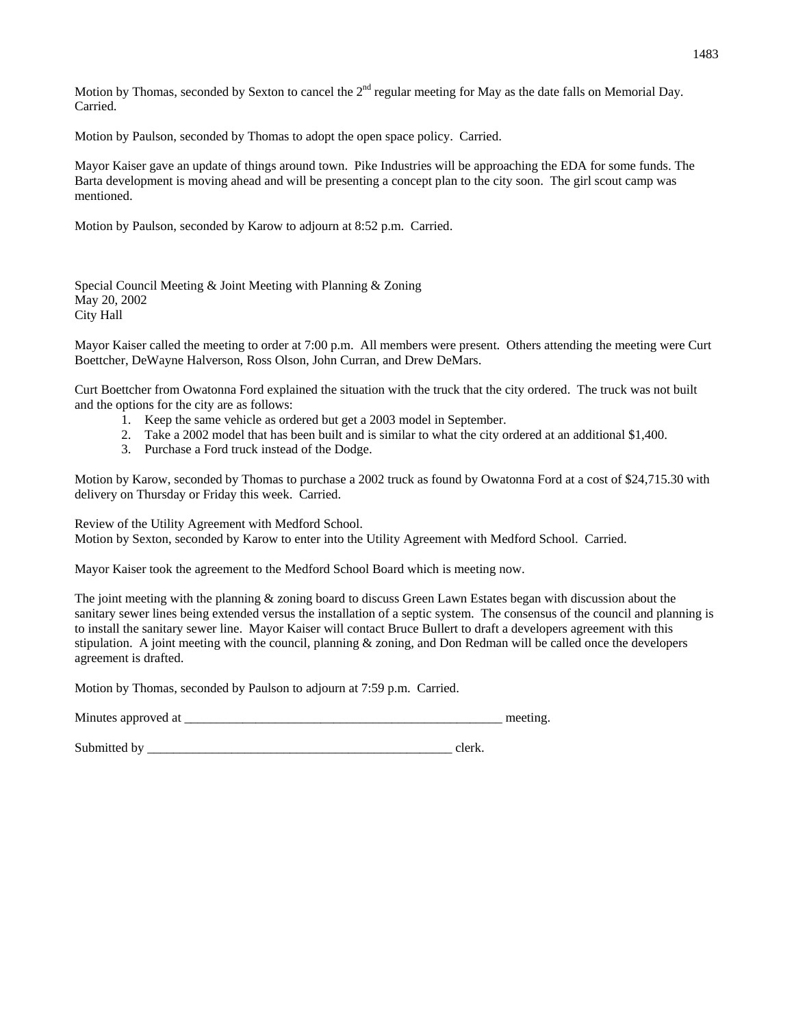Motion by Thomas, seconded by Sexton to cancel the  $2<sup>nd</sup>$  regular meeting for May as the date falls on Memorial Day. Carried.

Motion by Paulson, seconded by Thomas to adopt the open space policy. Carried.

Mayor Kaiser gave an update of things around town. Pike Industries will be approaching the EDA for some funds. The Barta development is moving ahead and will be presenting a concept plan to the city soon. The girl scout camp was mentioned.

Motion by Paulson, seconded by Karow to adjourn at 8:52 p.m. Carried.

Special Council Meeting & Joint Meeting with Planning & Zoning May 20, 2002 City Hall

Mayor Kaiser called the meeting to order at 7:00 p.m. All members were present. Others attending the meeting were Curt Boettcher, DeWayne Halverson, Ross Olson, John Curran, and Drew DeMars.

Curt Boettcher from Owatonna Ford explained the situation with the truck that the city ordered. The truck was not built and the options for the city are as follows:

- 1. Keep the same vehicle as ordered but get a 2003 model in September.
- 2. Take a 2002 model that has been built and is similar to what the city ordered at an additional \$1,400.
- 3. Purchase a Ford truck instead of the Dodge.

Motion by Karow, seconded by Thomas to purchase a 2002 truck as found by Owatonna Ford at a cost of \$24,715.30 with delivery on Thursday or Friday this week. Carried.

Review of the Utility Agreement with Medford School. Motion by Sexton, seconded by Karow to enter into the Utility Agreement with Medford School. Carried.

Mayor Kaiser took the agreement to the Medford School Board which is meeting now.

The joint meeting with the planning & zoning board to discuss Green Lawn Estates began with discussion about the sanitary sewer lines being extended versus the installation of a septic system. The consensus of the council and planning is to install the sanitary sewer line. Mayor Kaiser will contact Bruce Bullert to draft a developers agreement with this stipulation. A joint meeting with the council, planning & zoning, and Don Redman will be called once the developers agreement is drafted.

Motion by Thomas, seconded by Paulson to adjourn at 7:59 p.m. Carried.

Minutes approved at \_\_\_\_\_\_\_\_\_\_\_\_\_\_\_\_\_\_\_\_\_\_\_\_\_\_\_\_\_\_\_\_\_\_\_\_\_\_\_\_\_\_\_\_\_\_\_\_\_ meeting.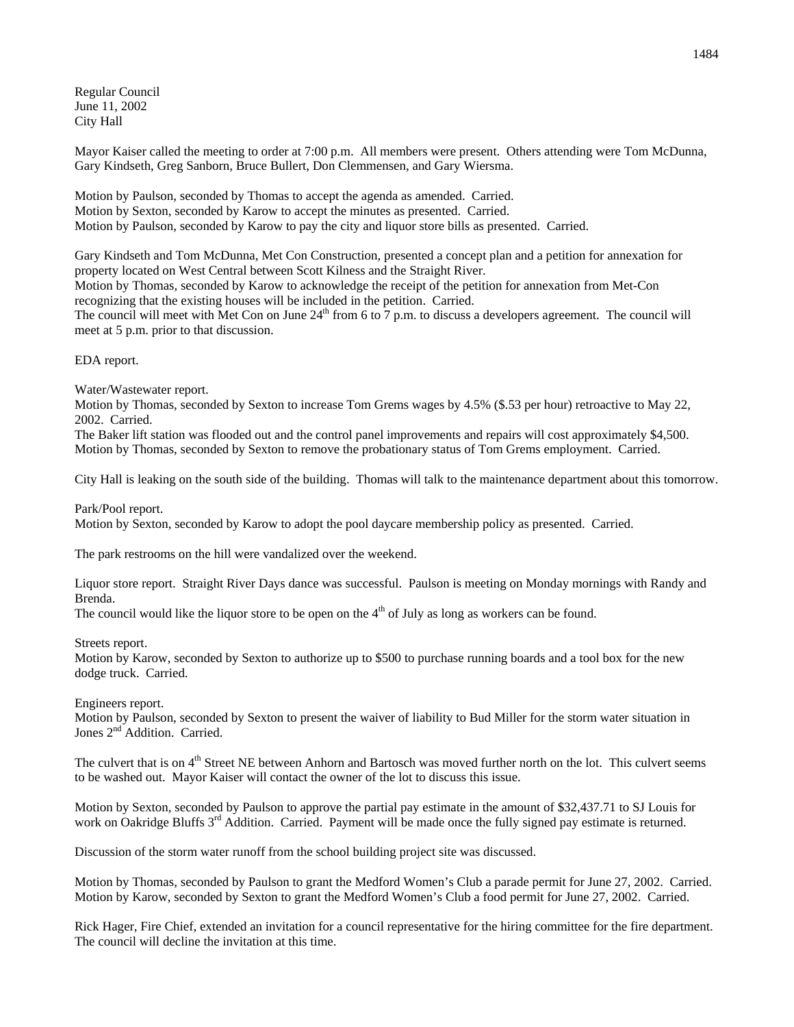Regular Council June 11, 2002 City Hall

Mayor Kaiser called the meeting to order at 7:00 p.m. All members were present. Others attending were Tom McDunna, Gary Kindseth, Greg Sanborn, Bruce Bullert, Don Clemmensen, and Gary Wiersma.

Motion by Paulson, seconded by Thomas to accept the agenda as amended. Carried. Motion by Sexton, seconded by Karow to accept the minutes as presented. Carried. Motion by Paulson, seconded by Karow to pay the city and liquor store bills as presented. Carried.

Gary Kindseth and Tom McDunna, Met Con Construction, presented a concept plan and a petition for annexation for property located on West Central between Scott Kilness and the Straight River.

Motion by Thomas, seconded by Karow to acknowledge the receipt of the petition for annexation from Met-Con recognizing that the existing houses will be included in the petition. Carried.

The council will meet with Met Con on June  $24<sup>th</sup>$  from 6 to 7 p.m. to discuss a developers agreement. The council will meet at 5 p.m. prior to that discussion.

EDA report.

Water/Wastewater report.

Motion by Thomas, seconded by Sexton to increase Tom Grems wages by 4.5% (\$.53 per hour) retroactive to May 22, 2002. Carried.

The Baker lift station was flooded out and the control panel improvements and repairs will cost approximately \$4,500. Motion by Thomas, seconded by Sexton to remove the probationary status of Tom Grems employment. Carried.

City Hall is leaking on the south side of the building. Thomas will talk to the maintenance department about this tomorrow.

Park/Pool report.

Motion by Sexton, seconded by Karow to adopt the pool daycare membership policy as presented. Carried.

The park restrooms on the hill were vandalized over the weekend.

Liquor store report. Straight River Days dance was successful. Paulson is meeting on Monday mornings with Randy and Brenda.

The council would like the liquor store to be open on the  $4<sup>th</sup>$  of July as long as workers can be found.

Streets report.

Motion by Karow, seconded by Sexton to authorize up to \$500 to purchase running boards and a tool box for the new dodge truck. Carried.

Engineers report.

Motion by Paulson, seconded by Sexton to present the waiver of liability to Bud Miller for the storm water situation in Jones 2<sup>nd</sup> Addition. Carried.

The culvert that is on 4<sup>th</sup> Street NE between Anhorn and Bartosch was moved further north on the lot. This culvert seems to be washed out. Mayor Kaiser will contact the owner of the lot to discuss this issue.

Motion by Sexton, seconded by Paulson to approve the partial pay estimate in the amount of \$32,437.71 to SJ Louis for work on Oakridge Bluffs 3<sup>rd</sup> Addition. Carried. Payment will be made once the fully signed pay estimate is returned.

Discussion of the storm water runoff from the school building project site was discussed.

Motion by Thomas, seconded by Paulson to grant the Medford Women's Club a parade permit for June 27, 2002. Carried. Motion by Karow, seconded by Sexton to grant the Medford Women's Club a food permit for June 27, 2002. Carried.

Rick Hager, Fire Chief, extended an invitation for a council representative for the hiring committee for the fire department. The council will decline the invitation at this time.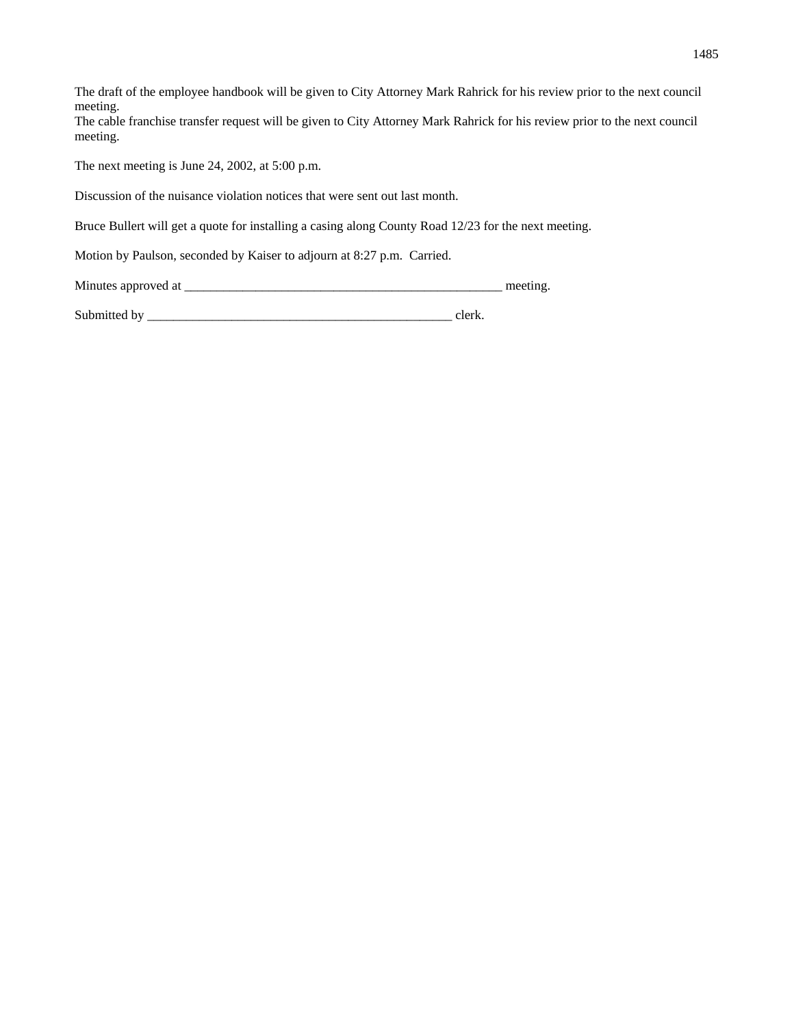The draft of the employee handbook will be given to City Attorney Mark Rahrick for his review prior to the next council meeting. The cable franchise transfer request will be given to City Attorney Mark Rahrick for his review prior to the next council meeting.

The next meeting is June 24, 2002, at 5:00 p.m.

Discussion of the nuisance violation notices that were sent out last month.

Bruce Bullert will get a quote for installing a casing along County Road 12/23 for the next meeting.

Motion by Paulson, seconded by Kaiser to adjourn at 8:27 p.m. Carried.

Minutes approved at \_\_\_\_\_\_\_\_\_\_\_\_\_\_\_\_\_\_\_\_\_\_\_\_\_\_\_\_\_\_\_\_\_\_\_\_\_\_\_\_\_\_\_\_\_\_\_\_\_ meeting.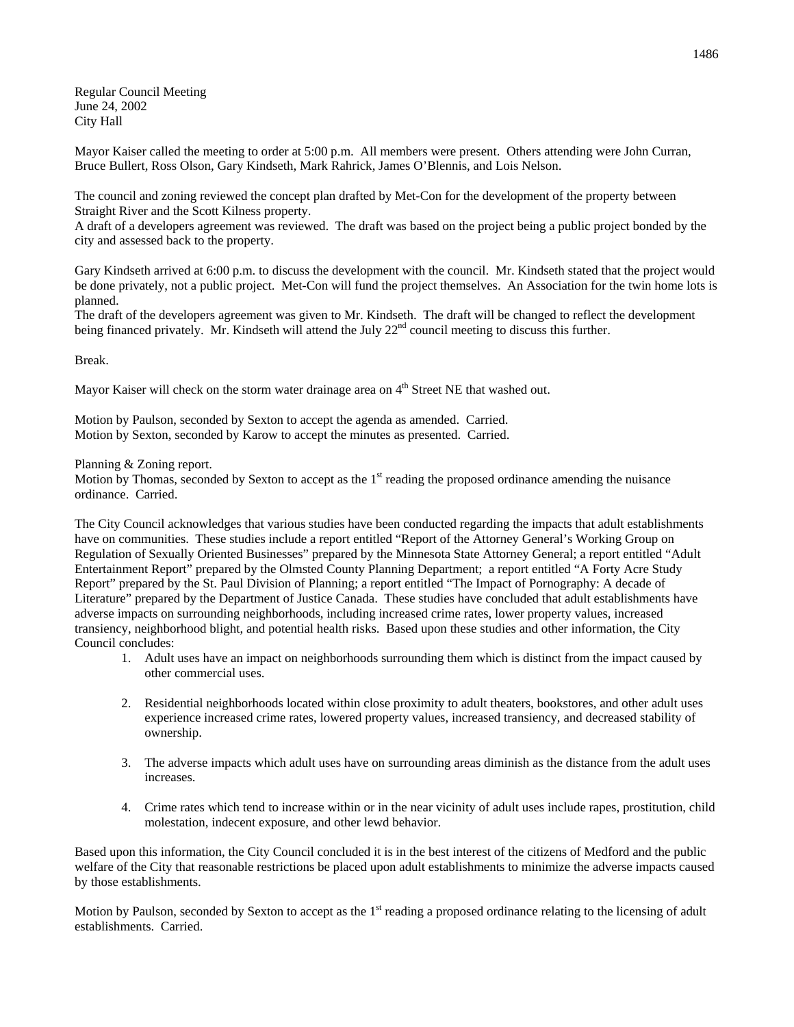Regular Council Meeting June 24, 2002 City Hall

Mayor Kaiser called the meeting to order at 5:00 p.m. All members were present. Others attending were John Curran, Bruce Bullert, Ross Olson, Gary Kindseth, Mark Rahrick, James O'Blennis, and Lois Nelson.

The council and zoning reviewed the concept plan drafted by Met-Con for the development of the property between Straight River and the Scott Kilness property.

A draft of a developers agreement was reviewed. The draft was based on the project being a public project bonded by the city and assessed back to the property.

Gary Kindseth arrived at 6:00 p.m. to discuss the development with the council. Mr. Kindseth stated that the project would be done privately, not a public project. Met-Con will fund the project themselves. An Association for the twin home lots is planned.

The draft of the developers agreement was given to Mr. Kindseth. The draft will be changed to reflect the development being financed privately. Mr. Kindseth will attend the July 22<sup>nd</sup> council meeting to discuss this further.

Break.

Mayor Kaiser will check on the storm water drainage area on  $4<sup>th</sup>$  Street NE that washed out.

Motion by Paulson, seconded by Sexton to accept the agenda as amended. Carried. Motion by Sexton, seconded by Karow to accept the minutes as presented. Carried.

Planning & Zoning report.

Motion by Thomas, seconded by Sexton to accept as the  $1<sup>st</sup>$  reading the proposed ordinance amending the nuisance ordinance. Carried.

The City Council acknowledges that various studies have been conducted regarding the impacts that adult establishments have on communities. These studies include a report entitled "Report of the Attorney General's Working Group on Regulation of Sexually Oriented Businesses" prepared by the Minnesota State Attorney General; a report entitled "Adult Entertainment Report" prepared by the Olmsted County Planning Department; a report entitled "A Forty Acre Study Report" prepared by the St. Paul Division of Planning; a report entitled "The Impact of Pornography: A decade of Literature" prepared by the Department of Justice Canada. These studies have concluded that adult establishments have adverse impacts on surrounding neighborhoods, including increased crime rates, lower property values, increased transiency, neighborhood blight, and potential health risks. Based upon these studies and other information, the City Council concludes:

- 1. Adult uses have an impact on neighborhoods surrounding them which is distinct from the impact caused by other commercial uses.
- 2. Residential neighborhoods located within close proximity to adult theaters, bookstores, and other adult uses experience increased crime rates, lowered property values, increased transiency, and decreased stability of ownership.
- 3. The adverse impacts which adult uses have on surrounding areas diminish as the distance from the adult uses increases.
- 4. Crime rates which tend to increase within or in the near vicinity of adult uses include rapes, prostitution, child molestation, indecent exposure, and other lewd behavior.

Based upon this information, the City Council concluded it is in the best interest of the citizens of Medford and the public welfare of the City that reasonable restrictions be placed upon adult establishments to minimize the adverse impacts caused by those establishments.

Motion by Paulson, seconded by Sexton to accept as the 1<sup>st</sup> reading a proposed ordinance relating to the licensing of adult establishments. Carried.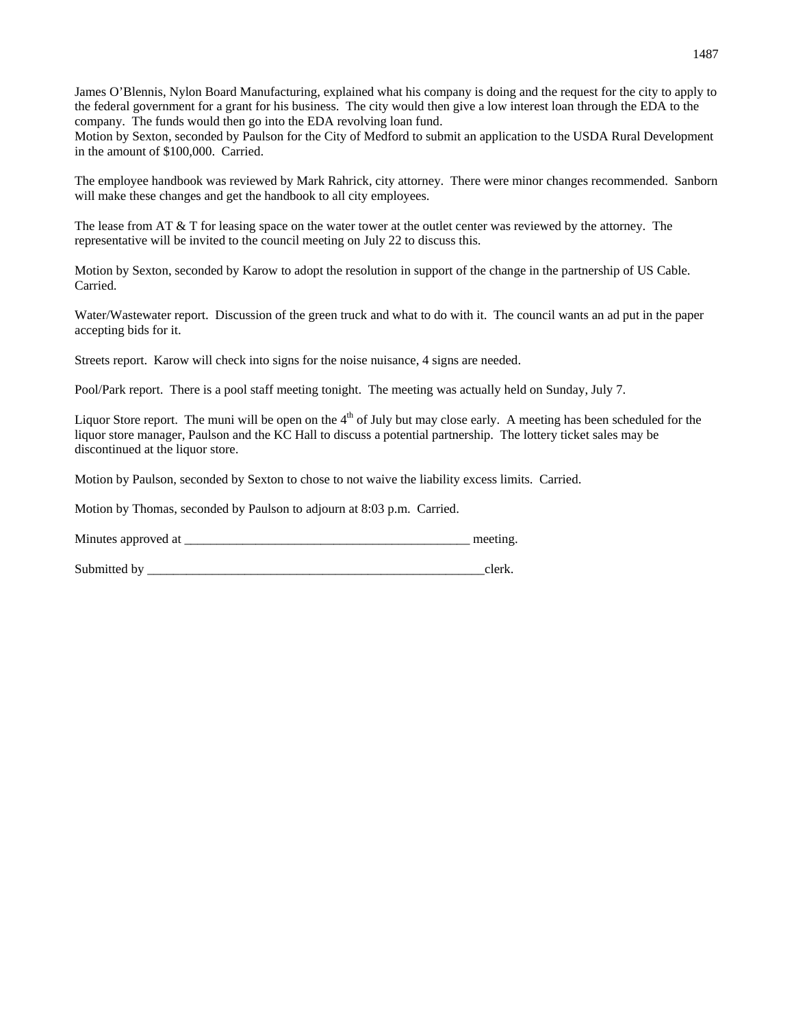James O'Blennis, Nylon Board Manufacturing, explained what his company is doing and the request for the city to apply to the federal government for a grant for his business. The city would then give a low interest loan through the EDA to the company. The funds would then go into the EDA revolving loan fund.

Motion by Sexton, seconded by Paulson for the City of Medford to submit an application to the USDA Rural Development in the amount of \$100,000. Carried.

The employee handbook was reviewed by Mark Rahrick, city attorney. There were minor changes recommended. Sanborn will make these changes and get the handbook to all city employees.

The lease from AT  $\&$  T for leasing space on the water tower at the outlet center was reviewed by the attorney. The representative will be invited to the council meeting on July 22 to discuss this.

Motion by Sexton, seconded by Karow to adopt the resolution in support of the change in the partnership of US Cable. Carried.

Water/Wastewater report. Discussion of the green truck and what to do with it. The council wants an ad put in the paper accepting bids for it.

Streets report. Karow will check into signs for the noise nuisance, 4 signs are needed.

Pool/Park report. There is a pool staff meeting tonight. The meeting was actually held on Sunday, July 7.

Liquor Store report. The muni will be open on the  $4<sup>th</sup>$  of July but may close early. A meeting has been scheduled for the liquor store manager, Paulson and the KC Hall to discuss a potential partnership. The lottery ticket sales may be discontinued at the liquor store.

Motion by Paulson, seconded by Sexton to chose to not waive the liability excess limits. Carried.

Motion by Thomas, seconded by Paulson to adjourn at 8:03 p.m. Carried.

Minutes approved at \_\_\_\_\_\_\_\_\_\_\_\_\_\_\_\_\_\_\_\_\_\_\_\_\_\_\_\_\_\_\_\_\_\_\_\_\_\_\_\_\_\_\_\_ meeting.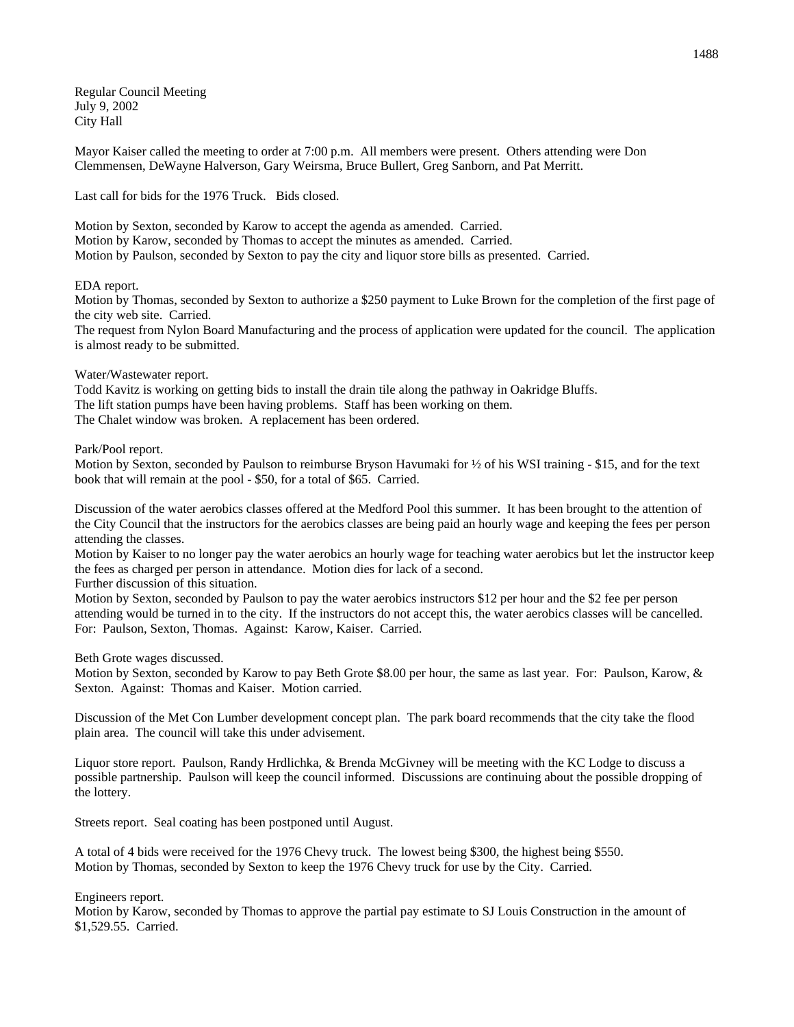Regular Council Meeting July 9, 2002 City Hall

Mayor Kaiser called the meeting to order at 7:00 p.m. All members were present. Others attending were Don Clemmensen, DeWayne Halverson, Gary Weirsma, Bruce Bullert, Greg Sanborn, and Pat Merritt.

Last call for bids for the 1976 Truck. Bids closed.

Motion by Sexton, seconded by Karow to accept the agenda as amended. Carried. Motion by Karow, seconded by Thomas to accept the minutes as amended. Carried. Motion by Paulson, seconded by Sexton to pay the city and liquor store bills as presented. Carried.

EDA report.

Motion by Thomas, seconded by Sexton to authorize a \$250 payment to Luke Brown for the completion of the first page of the city web site. Carried.

The request from Nylon Board Manufacturing and the process of application were updated for the council. The application is almost ready to be submitted.

## Water/Wastewater report.

Todd Kavitz is working on getting bids to install the drain tile along the pathway in Oakridge Bluffs. The lift station pumps have been having problems. Staff has been working on them. The Chalet window was broken. A replacement has been ordered.

Park/Pool report.

Motion by Sexton, seconded by Paulson to reimburse Bryson Havumaki for ½ of his WSI training - \$15, and for the text book that will remain at the pool - \$50, for a total of \$65. Carried.

Discussion of the water aerobics classes offered at the Medford Pool this summer. It has been brought to the attention of the City Council that the instructors for the aerobics classes are being paid an hourly wage and keeping the fees per person attending the classes.

Motion by Kaiser to no longer pay the water aerobics an hourly wage for teaching water aerobics but let the instructor keep the fees as charged per person in attendance. Motion dies for lack of a second.

Further discussion of this situation.

Motion by Sexton, seconded by Paulson to pay the water aerobics instructors \$12 per hour and the \$2 fee per person attending would be turned in to the city. If the instructors do not accept this, the water aerobics classes will be cancelled. For: Paulson, Sexton, Thomas. Against: Karow, Kaiser. Carried.

Beth Grote wages discussed.

Motion by Sexton, seconded by Karow to pay Beth Grote \$8.00 per hour, the same as last year. For: Paulson, Karow, & Sexton. Against: Thomas and Kaiser. Motion carried.

Discussion of the Met Con Lumber development concept plan. The park board recommends that the city take the flood plain area. The council will take this under advisement.

Liquor store report. Paulson, Randy Hrdlichka, & Brenda McGivney will be meeting with the KC Lodge to discuss a possible partnership. Paulson will keep the council informed. Discussions are continuing about the possible dropping of the lottery.

Streets report. Seal coating has been postponed until August.

A total of 4 bids were received for the 1976 Chevy truck. The lowest being \$300, the highest being \$550. Motion by Thomas, seconded by Sexton to keep the 1976 Chevy truck for use by the City. Carried.

Engineers report.

Motion by Karow, seconded by Thomas to approve the partial pay estimate to SJ Louis Construction in the amount of \$1,529.55. Carried.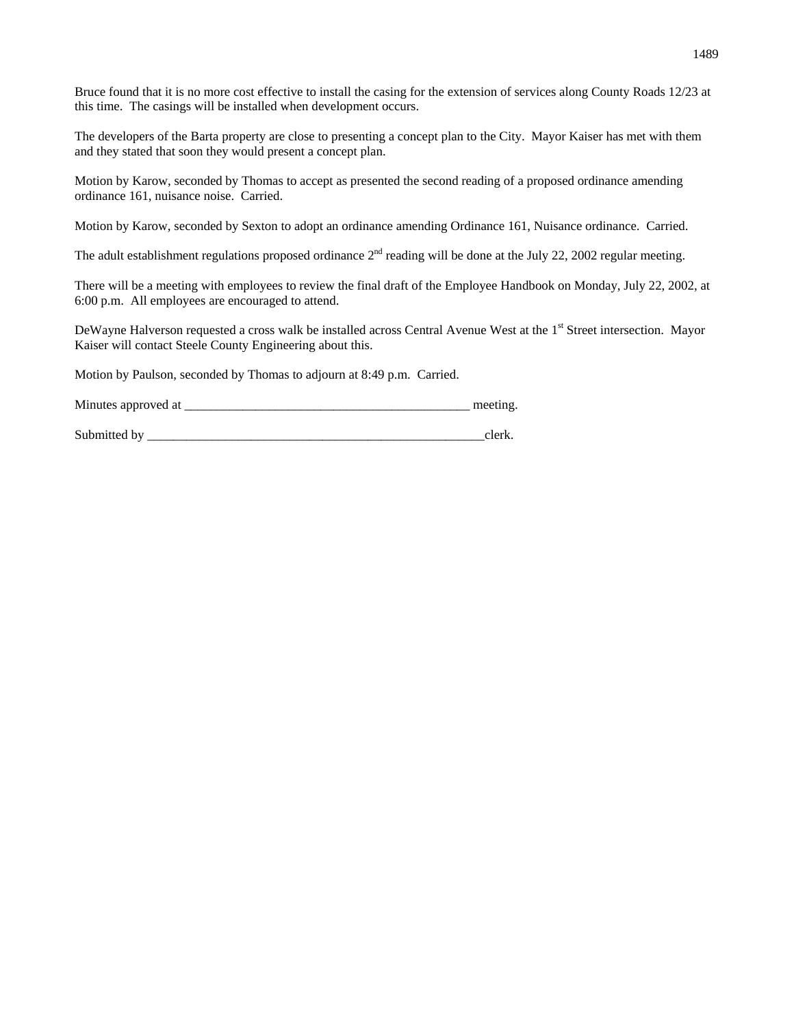Bruce found that it is no more cost effective to install the casing for the extension of services along County Roads 12/23 at this time. The casings will be installed when development occurs.

The developers of the Barta property are close to presenting a concept plan to the City. Mayor Kaiser has met with them and they stated that soon they would present a concept plan.

Motion by Karow, seconded by Thomas to accept as presented the second reading of a proposed ordinance amending ordinance 161, nuisance noise. Carried.

Motion by Karow, seconded by Sexton to adopt an ordinance amending Ordinance 161, Nuisance ordinance. Carried.

The adult establishment regulations proposed ordinance  $2<sup>nd</sup>$  reading will be done at the July 22, 2002 regular meeting.

There will be a meeting with employees to review the final draft of the Employee Handbook on Monday, July 22, 2002, at 6:00 p.m. All employees are encouraged to attend.

DeWayne Halverson requested a cross walk be installed across Central Avenue West at the 1<sup>st</sup> Street intersection. Mayor Kaiser will contact Steele County Engineering about this.

Motion by Paulson, seconded by Thomas to adjourn at 8:49 p.m. Carried.

Minutes approved at \_\_\_\_\_\_\_\_\_\_\_\_\_\_\_\_\_\_\_\_\_\_\_\_\_\_\_\_\_\_\_\_\_\_\_\_\_\_\_\_\_\_\_\_ meeting.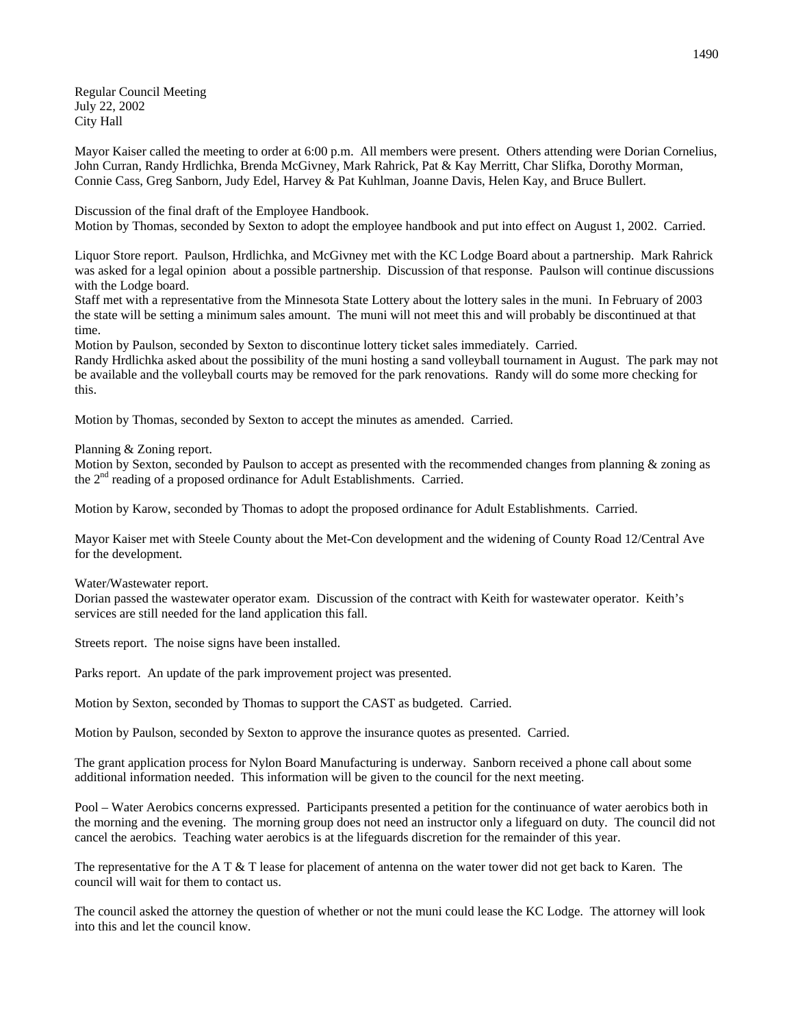Regular Council Meeting July 22, 2002 City Hall

Mayor Kaiser called the meeting to order at 6:00 p.m. All members were present. Others attending were Dorian Cornelius, John Curran, Randy Hrdlichka, Brenda McGivney, Mark Rahrick, Pat & Kay Merritt, Char Slifka, Dorothy Morman, Connie Cass, Greg Sanborn, Judy Edel, Harvey & Pat Kuhlman, Joanne Davis, Helen Kay, and Bruce Bullert.

Discussion of the final draft of the Employee Handbook. Motion by Thomas, seconded by Sexton to adopt the employee handbook and put into effect on August 1, 2002. Carried.

Liquor Store report. Paulson, Hrdlichka, and McGivney met with the KC Lodge Board about a partnership. Mark Rahrick was asked for a legal opinion about a possible partnership. Discussion of that response. Paulson will continue discussions with the Lodge board.

Staff met with a representative from the Minnesota State Lottery about the lottery sales in the muni. In February of 2003 the state will be setting a minimum sales amount. The muni will not meet this and will probably be discontinued at that time.

Motion by Paulson, seconded by Sexton to discontinue lottery ticket sales immediately. Carried.

Randy Hrdlichka asked about the possibility of the muni hosting a sand volleyball tournament in August. The park may not be available and the volleyball courts may be removed for the park renovations. Randy will do some more checking for this.

Motion by Thomas, seconded by Sexton to accept the minutes as amended. Carried.

Planning & Zoning report.

Motion by Sexton, seconded by Paulson to accept as presented with the recommended changes from planning & zoning as the  $2<sup>nd</sup>$  reading of a proposed ordinance for Adult Establishments. Carried.

Motion by Karow, seconded by Thomas to adopt the proposed ordinance for Adult Establishments. Carried.

Mayor Kaiser met with Steele County about the Met-Con development and the widening of County Road 12/Central Ave for the development.

Water/Wastewater report.

Dorian passed the wastewater operator exam. Discussion of the contract with Keith for wastewater operator. Keith's services are still needed for the land application this fall.

Streets report. The noise signs have been installed.

Parks report. An update of the park improvement project was presented.

Motion by Sexton, seconded by Thomas to support the CAST as budgeted. Carried.

Motion by Paulson, seconded by Sexton to approve the insurance quotes as presented. Carried.

The grant application process for Nylon Board Manufacturing is underway. Sanborn received a phone call about some additional information needed. This information will be given to the council for the next meeting.

Pool – Water Aerobics concerns expressed. Participants presented a petition for the continuance of water aerobics both in the morning and the evening. The morning group does not need an instructor only a lifeguard on duty. The council did not cancel the aerobics. Teaching water aerobics is at the lifeguards discretion for the remainder of this year.

The representative for the A T & T lease for placement of antenna on the water tower did not get back to Karen. The council will wait for them to contact us.

The council asked the attorney the question of whether or not the muni could lease the KC Lodge. The attorney will look into this and let the council know.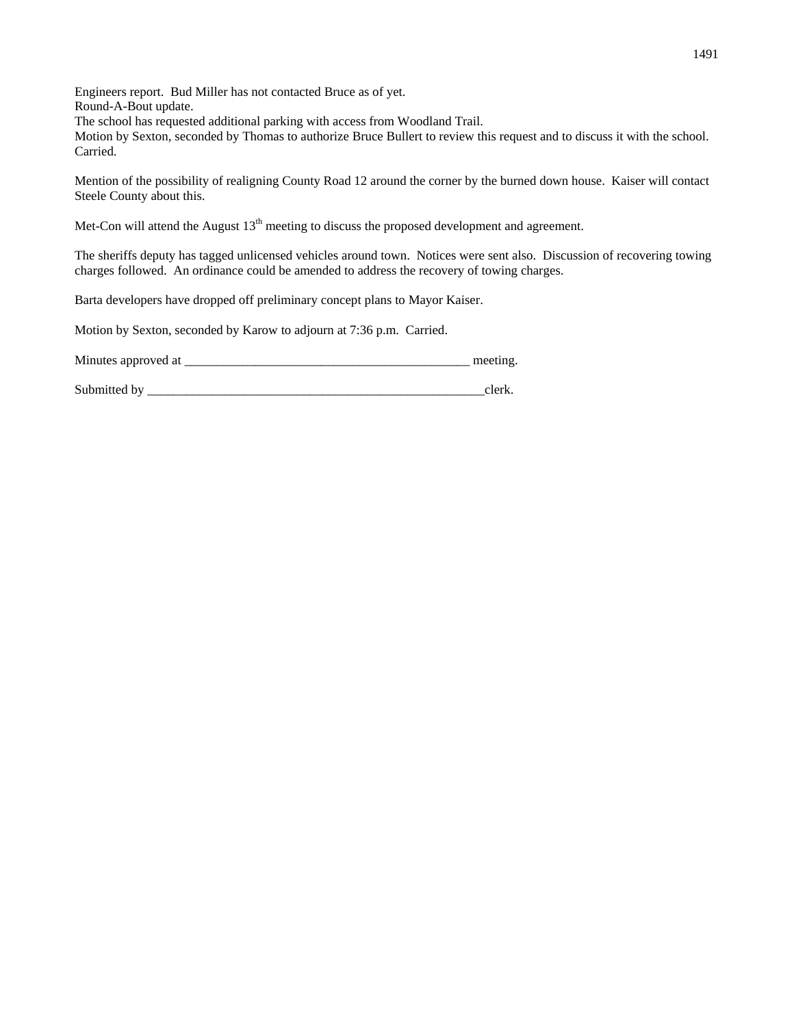Engineers report. Bud Miller has not contacted Bruce as of yet. Round-A-Bout update.

The school has requested additional parking with access from Woodland Trail.

Motion by Sexton, seconded by Thomas to authorize Bruce Bullert to review this request and to discuss it with the school. Carried.

Mention of the possibility of realigning County Road 12 around the corner by the burned down house. Kaiser will contact Steele County about this.

Met-Con will attend the August 13<sup>th</sup> meeting to discuss the proposed development and agreement.

The sheriffs deputy has tagged unlicensed vehicles around town. Notices were sent also. Discussion of recovering towing charges followed. An ordinance could be amended to address the recovery of towing charges.

Barta developers have dropped off preliminary concept plans to Mayor Kaiser.

Motion by Sexton, seconded by Karow to adjourn at 7:36 p.m. Carried.

| Minutes approved at |  |
|---------------------|--|
|---------------------|--|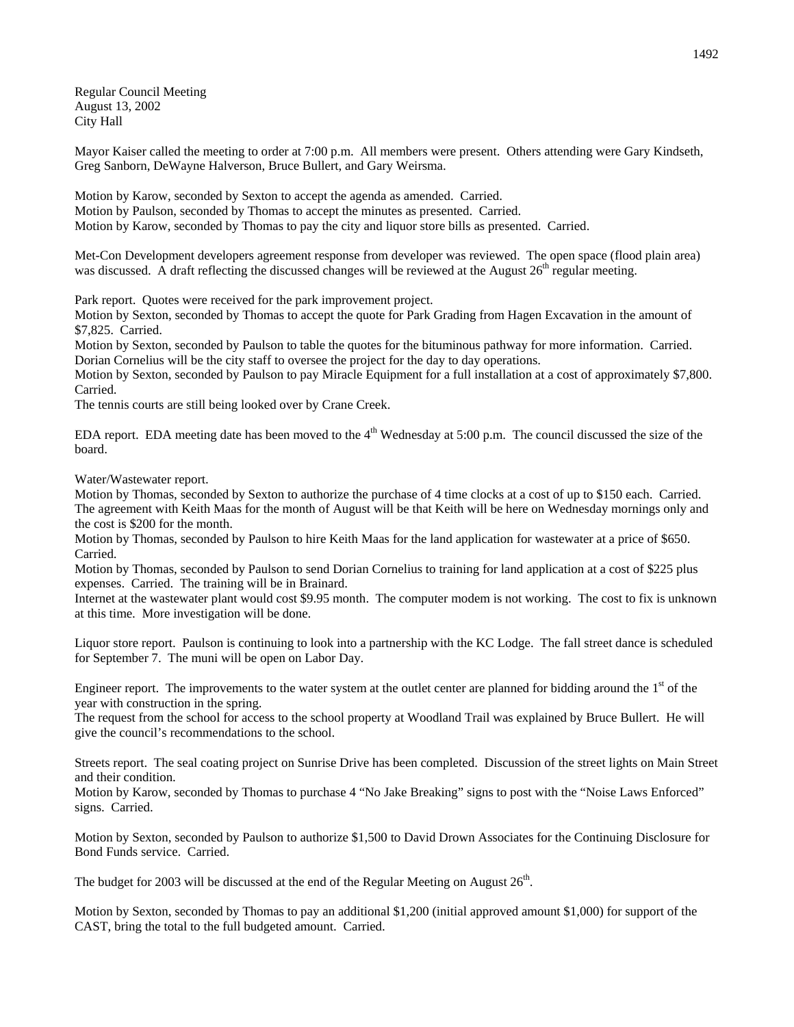Regular Council Meeting August 13, 2002 City Hall

Mayor Kaiser called the meeting to order at 7:00 p.m. All members were present. Others attending were Gary Kindseth, Greg Sanborn, DeWayne Halverson, Bruce Bullert, and Gary Weirsma.

Motion by Karow, seconded by Sexton to accept the agenda as amended. Carried. Motion by Paulson, seconded by Thomas to accept the minutes as presented. Carried. Motion by Karow, seconded by Thomas to pay the city and liquor store bills as presented. Carried.

Met-Con Development developers agreement response from developer was reviewed. The open space (flood plain area) was discussed. A draft reflecting the discussed changes will be reviewed at the August  $26<sup>th</sup>$  regular meeting.

Park report. Quotes were received for the park improvement project.

Motion by Sexton, seconded by Thomas to accept the quote for Park Grading from Hagen Excavation in the amount of \$7,825. Carried.

Motion by Sexton, seconded by Paulson to table the quotes for the bituminous pathway for more information. Carried. Dorian Cornelius will be the city staff to oversee the project for the day to day operations.

Motion by Sexton, seconded by Paulson to pay Miracle Equipment for a full installation at a cost of approximately \$7,800. Carried.

The tennis courts are still being looked over by Crane Creek.

EDA report. EDA meeting date has been moved to the  $4<sup>th</sup>$  Wednesday at 5:00 p.m. The council discussed the size of the board.

Water/Wastewater report.

Motion by Thomas, seconded by Sexton to authorize the purchase of 4 time clocks at a cost of up to \$150 each. Carried. The agreement with Keith Maas for the month of August will be that Keith will be here on Wednesday mornings only and the cost is \$200 for the month.

Motion by Thomas, seconded by Paulson to hire Keith Maas for the land application for wastewater at a price of \$650. Carried.

Motion by Thomas, seconded by Paulson to send Dorian Cornelius to training for land application at a cost of \$225 plus expenses. Carried. The training will be in Brainard.

Internet at the wastewater plant would cost \$9.95 month. The computer modem is not working. The cost to fix is unknown at this time. More investigation will be done.

Liquor store report. Paulson is continuing to look into a partnership with the KC Lodge. The fall street dance is scheduled for September 7. The muni will be open on Labor Day.

Engineer report. The improvements to the water system at the outlet center are planned for bidding around the  $1<sup>st</sup>$  of the year with construction in the spring.

The request from the school for access to the school property at Woodland Trail was explained by Bruce Bullert. He will give the council's recommendations to the school.

Streets report. The seal coating project on Sunrise Drive has been completed. Discussion of the street lights on Main Street and their condition.

Motion by Karow, seconded by Thomas to purchase 4 "No Jake Breaking" signs to post with the "Noise Laws Enforced" signs. Carried.

Motion by Sexton, seconded by Paulson to authorize \$1,500 to David Drown Associates for the Continuing Disclosure for Bond Funds service. Carried.

The budget for 2003 will be discussed at the end of the Regular Meeting on August  $26<sup>th</sup>$ .

Motion by Sexton, seconded by Thomas to pay an additional \$1,200 (initial approved amount \$1,000) for support of the CAST, bring the total to the full budgeted amount. Carried.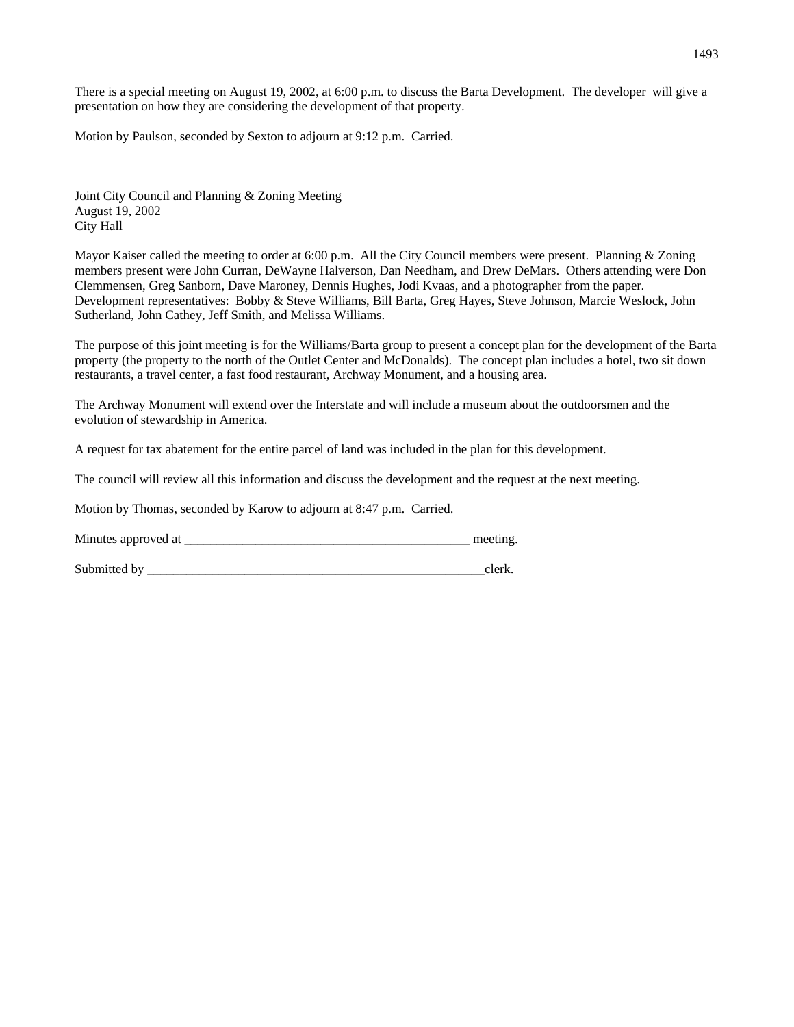There is a special meeting on August 19, 2002, at 6:00 p.m. to discuss the Barta Development. The developer will give a presentation on how they are considering the development of that property.

Motion by Paulson, seconded by Sexton to adjourn at 9:12 p.m. Carried.

Joint City Council and Planning & Zoning Meeting August 19, 2002 City Hall

Mayor Kaiser called the meeting to order at 6:00 p.m. All the City Council members were present. Planning & Zoning members present were John Curran, DeWayne Halverson, Dan Needham, and Drew DeMars. Others attending were Don Clemmensen, Greg Sanborn, Dave Maroney, Dennis Hughes, Jodi Kvaas, and a photographer from the paper. Development representatives: Bobby & Steve Williams, Bill Barta, Greg Hayes, Steve Johnson, Marcie Weslock, John Sutherland, John Cathey, Jeff Smith, and Melissa Williams.

The purpose of this joint meeting is for the Williams/Barta group to present a concept plan for the development of the Barta property (the property to the north of the Outlet Center and McDonalds). The concept plan includes a hotel, two sit down restaurants, a travel center, a fast food restaurant, Archway Monument, and a housing area.

The Archway Monument will extend over the Interstate and will include a museum about the outdoorsmen and the evolution of stewardship in America.

A request for tax abatement for the entire parcel of land was included in the plan for this development.

The council will review all this information and discuss the development and the request at the next meeting.

Motion by Thomas, seconded by Karow to adjourn at 8:47 p.m. Carried.

Minutes approved at \_\_\_\_\_\_\_\_\_\_\_\_\_\_\_\_\_\_\_\_\_\_\_\_\_\_\_\_\_\_\_\_\_\_\_\_\_\_\_\_\_\_\_\_ meeting.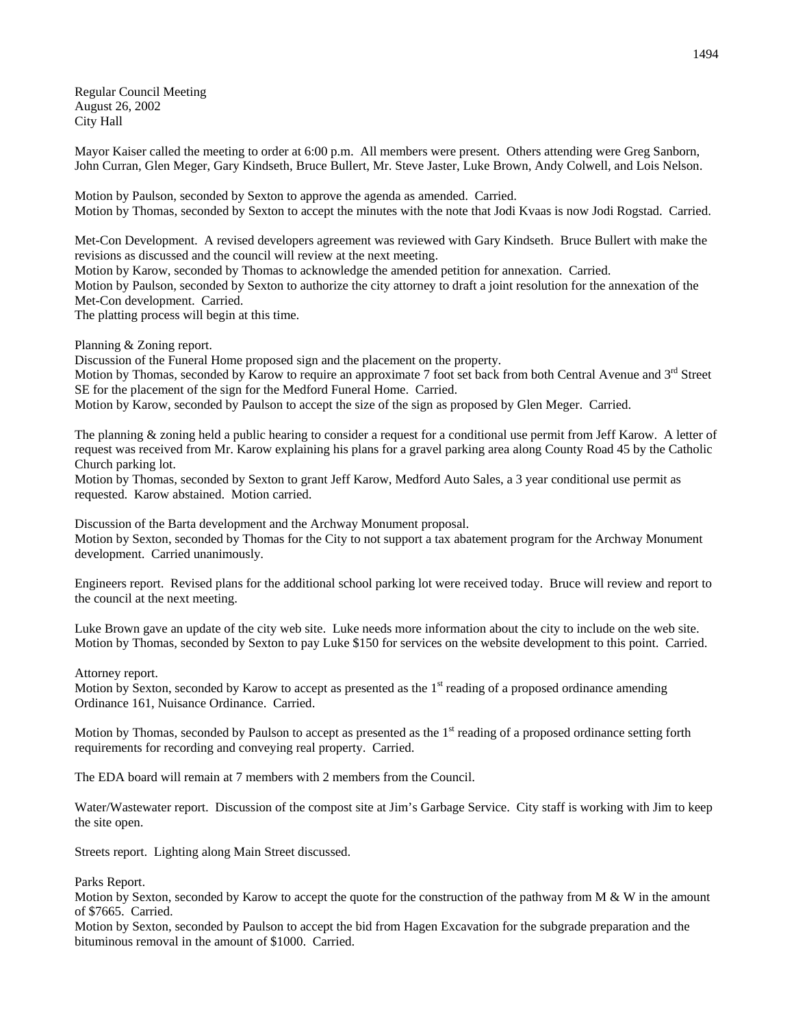Regular Council Meeting August 26, 2002 City Hall

Mayor Kaiser called the meeting to order at 6:00 p.m. All members were present. Others attending were Greg Sanborn, John Curran, Glen Meger, Gary Kindseth, Bruce Bullert, Mr. Steve Jaster, Luke Brown, Andy Colwell, and Lois Nelson.

Motion by Paulson, seconded by Sexton to approve the agenda as amended. Carried. Motion by Thomas, seconded by Sexton to accept the minutes with the note that Jodi Kvaas is now Jodi Rogstad. Carried.

Met-Con Development. A revised developers agreement was reviewed with Gary Kindseth. Bruce Bullert with make the revisions as discussed and the council will review at the next meeting.

Motion by Karow, seconded by Thomas to acknowledge the amended petition for annexation. Carried. Motion by Paulson, seconded by Sexton to authorize the city attorney to draft a joint resolution for the annexation of the Met-Con development. Carried.

The platting process will begin at this time.

Planning & Zoning report.

Discussion of the Funeral Home proposed sign and the placement on the property.

Motion by Thomas, seconded by Karow to require an approximate 7 foot set back from both Central Avenue and  $3<sup>rd</sup>$  Street SE for the placement of the sign for the Medford Funeral Home. Carried.

Motion by Karow, seconded by Paulson to accept the size of the sign as proposed by Glen Meger. Carried.

The planning & zoning held a public hearing to consider a request for a conditional use permit from Jeff Karow. A letter of request was received from Mr. Karow explaining his plans for a gravel parking area along County Road 45 by the Catholic Church parking lot.

Motion by Thomas, seconded by Sexton to grant Jeff Karow, Medford Auto Sales, a 3 year conditional use permit as requested. Karow abstained. Motion carried.

Discussion of the Barta development and the Archway Monument proposal.

Motion by Sexton, seconded by Thomas for the City to not support a tax abatement program for the Archway Monument development. Carried unanimously.

Engineers report. Revised plans for the additional school parking lot were received today. Bruce will review and report to the council at the next meeting.

Luke Brown gave an update of the city web site. Luke needs more information about the city to include on the web site. Motion by Thomas, seconded by Sexton to pay Luke \$150 for services on the website development to this point. Carried.

Attorney report.

Motion by Sexton, seconded by Karow to accept as presented as the  $1<sup>st</sup>$  reading of a proposed ordinance amending Ordinance 161, Nuisance Ordinance. Carried.

Motion by Thomas, seconded by Paulson to accept as presented as the  $1<sup>st</sup>$  reading of a proposed ordinance setting forth requirements for recording and conveying real property. Carried.

The EDA board will remain at 7 members with 2 members from the Council.

Water/Wastewater report. Discussion of the compost site at Jim's Garbage Service. City staff is working with Jim to keep the site open.

Streets report. Lighting along Main Street discussed.

Parks Report.

Motion by Sexton, seconded by Karow to accept the quote for the construction of the pathway from  $M \& W$  in the amount of \$7665. Carried.

Motion by Sexton, seconded by Paulson to accept the bid from Hagen Excavation for the subgrade preparation and the bituminous removal in the amount of \$1000. Carried.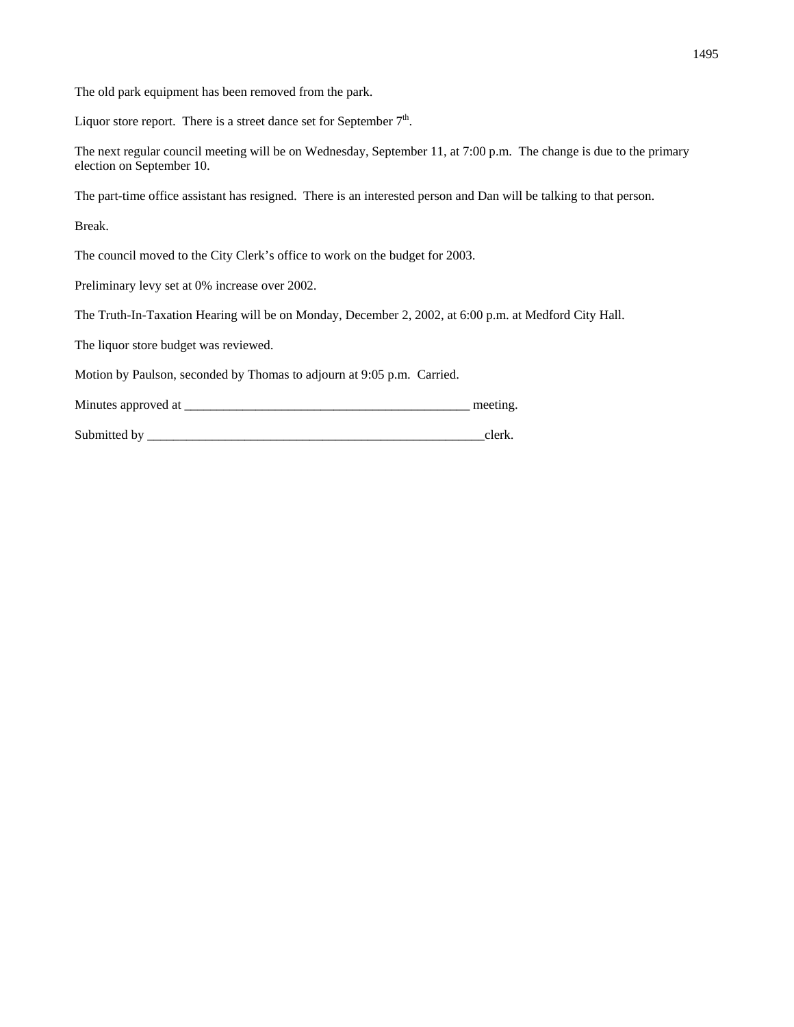The old park equipment has been removed from the park.

Liquor store report. There is a street dance set for September  $7<sup>th</sup>$ .

The next regular council meeting will be on Wednesday, September 11, at 7:00 p.m. The change is due to the primary election on September 10.

The part-time office assistant has resigned. There is an interested person and Dan will be talking to that person.

Break.

The council moved to the City Clerk's office to work on the budget for 2003.

Preliminary levy set at 0% increase over 2002.

The Truth-In-Taxation Hearing will be on Monday, December 2, 2002, at 6:00 p.m. at Medford City Hall.

The liquor store budget was reviewed.

Motion by Paulson, seconded by Thomas to adjourn at 9:05 p.m. Carried.

Minutes approved at \_\_\_\_\_\_\_\_\_\_\_\_\_\_\_\_\_\_\_\_\_\_\_\_\_\_\_\_\_\_\_\_\_\_\_\_\_\_\_\_\_\_\_\_ meeting.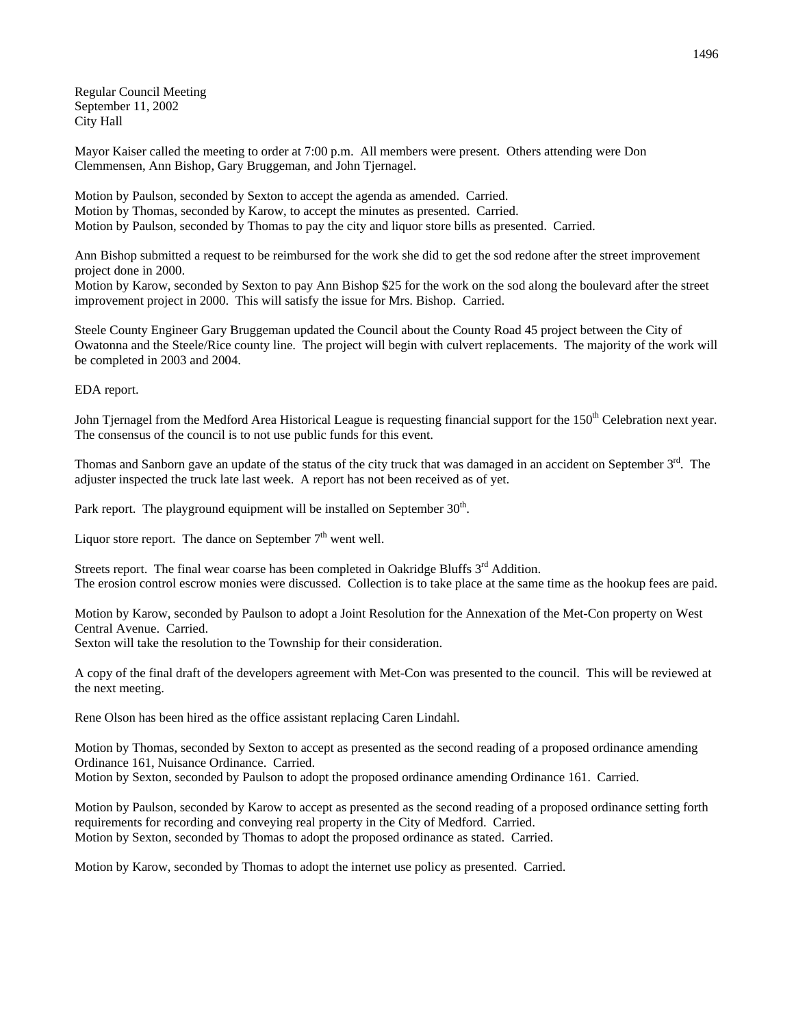Regular Council Meeting September 11, 2002 City Hall

Mayor Kaiser called the meeting to order at 7:00 p.m. All members were present. Others attending were Don Clemmensen, Ann Bishop, Gary Bruggeman, and John Tjernagel.

Motion by Paulson, seconded by Sexton to accept the agenda as amended. Carried. Motion by Thomas, seconded by Karow, to accept the minutes as presented. Carried. Motion by Paulson, seconded by Thomas to pay the city and liquor store bills as presented. Carried.

Ann Bishop submitted a request to be reimbursed for the work she did to get the sod redone after the street improvement project done in 2000.

Motion by Karow, seconded by Sexton to pay Ann Bishop \$25 for the work on the sod along the boulevard after the street improvement project in 2000. This will satisfy the issue for Mrs. Bishop. Carried.

Steele County Engineer Gary Bruggeman updated the Council about the County Road 45 project between the City of Owatonna and the Steele/Rice county line. The project will begin with culvert replacements. The majority of the work will be completed in 2003 and 2004.

EDA report.

John Tjernagel from the Medford Area Historical League is requesting financial support for the 150<sup>th</sup> Celebration next year. The consensus of the council is to not use public funds for this event.

Thomas and Sanborn gave an update of the status of the city truck that was damaged in an accident on September 3rd. The adjuster inspected the truck late last week. A report has not been received as of yet.

Park report. The playground equipment will be installed on September  $30<sup>th</sup>$ .

Liquor store report. The dance on September  $7<sup>th</sup>$  went well.

Streets report. The final wear coarse has been completed in Oakridge Bluffs  $3<sup>rd</sup>$  Addition. The erosion control escrow monies were discussed. Collection is to take place at the same time as the hookup fees are paid.

Motion by Karow, seconded by Paulson to adopt a Joint Resolution for the Annexation of the Met-Con property on West Central Avenue. Carried.

Sexton will take the resolution to the Township for their consideration.

A copy of the final draft of the developers agreement with Met-Con was presented to the council. This will be reviewed at the next meeting.

Rene Olson has been hired as the office assistant replacing Caren Lindahl.

Motion by Thomas, seconded by Sexton to accept as presented as the second reading of a proposed ordinance amending Ordinance 161, Nuisance Ordinance. Carried.

Motion by Sexton, seconded by Paulson to adopt the proposed ordinance amending Ordinance 161. Carried.

Motion by Paulson, seconded by Karow to accept as presented as the second reading of a proposed ordinance setting forth requirements for recording and conveying real property in the City of Medford. Carried. Motion by Sexton, seconded by Thomas to adopt the proposed ordinance as stated. Carried.

Motion by Karow, seconded by Thomas to adopt the internet use policy as presented. Carried.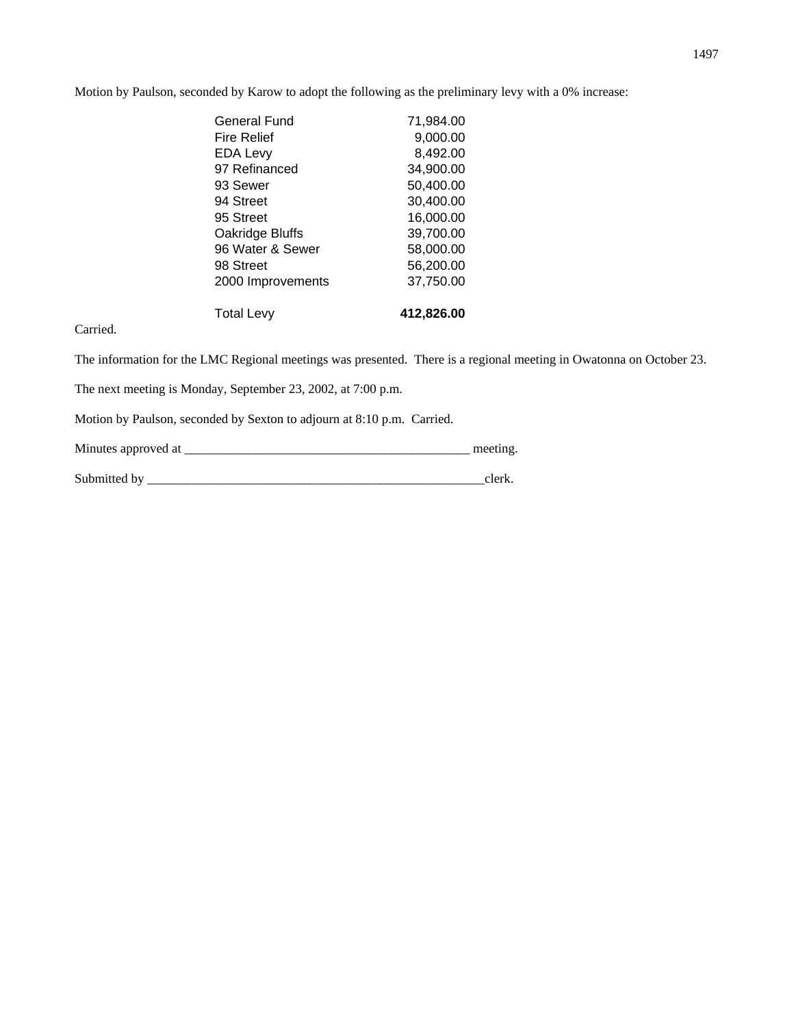Motion by Paulson, seconded by Karow to adopt the following as the preliminary levy with a 0% increase:

| General Fund       | 71,984.00  |
|--------------------|------------|
| <b>Fire Relief</b> | 9,000.00   |
| <b>EDA Levy</b>    | 8,492.00   |
| 97 Refinanced      | 34,900.00  |
| 93 Sewer           | 50,400.00  |
| 94 Street          | 30,400.00  |
| 95 Street          | 16,000.00  |
| Oakridge Bluffs    | 39,700.00  |
| 96 Water & Sewer   | 58,000.00  |
| 98 Street          | 56,200.00  |
| 2000 Improvements  | 37,750.00  |
| <b>Total Levy</b>  | 412,826.00 |

Carried.

The information for the LMC Regional meetings was presented. There is a regional meeting in Owatonna on October 23.

The next meeting is Monday, September 23, 2002, at 7:00 p.m.

Motion by Paulson, seconded by Sexton to adjourn at 8:10 p.m. Carried.

Minutes approved at \_\_\_\_\_\_\_\_\_\_\_\_\_\_\_\_\_\_\_\_\_\_\_\_\_\_\_\_\_\_\_\_\_\_\_\_\_\_\_\_\_\_\_\_ meeting.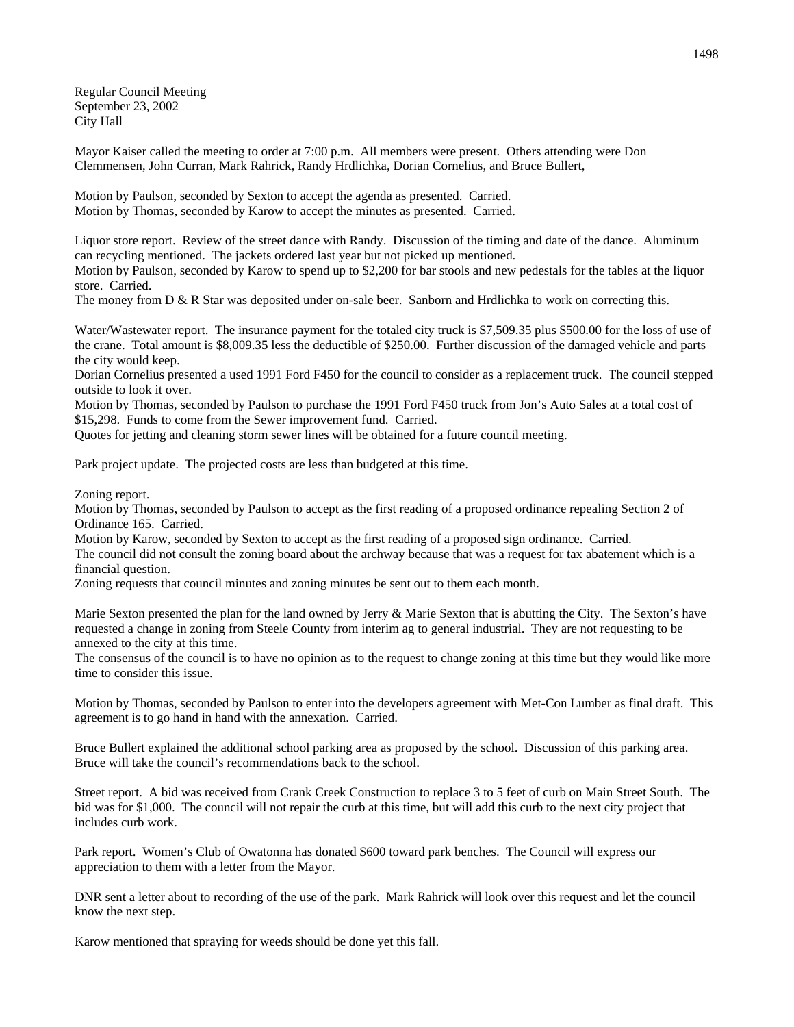Regular Council Meeting September 23, 2002 City Hall

Mayor Kaiser called the meeting to order at 7:00 p.m. All members were present. Others attending were Don Clemmensen, John Curran, Mark Rahrick, Randy Hrdlichka, Dorian Cornelius, and Bruce Bullert,

Motion by Paulson, seconded by Sexton to accept the agenda as presented. Carried. Motion by Thomas, seconded by Karow to accept the minutes as presented. Carried.

Liquor store report. Review of the street dance with Randy. Discussion of the timing and date of the dance. Aluminum can recycling mentioned. The jackets ordered last year but not picked up mentioned.

Motion by Paulson, seconded by Karow to spend up to \$2,200 for bar stools and new pedestals for the tables at the liquor store. Carried.

The money from  $D \& R$  Star was deposited under on-sale beer. Sanborn and Hrdlichka to work on correcting this.

Water/Wastewater report. The insurance payment for the totaled city truck is \$7,509.35 plus \$500.00 for the loss of use of the crane. Total amount is \$8,009.35 less the deductible of \$250.00. Further discussion of the damaged vehicle and parts the city would keep.

Dorian Cornelius presented a used 1991 Ford F450 for the council to consider as a replacement truck. The council stepped outside to look it over.

Motion by Thomas, seconded by Paulson to purchase the 1991 Ford F450 truck from Jon's Auto Sales at a total cost of \$15,298. Funds to come from the Sewer improvement fund. Carried.

Quotes for jetting and cleaning storm sewer lines will be obtained for a future council meeting.

Park project update. The projected costs are less than budgeted at this time.

Zoning report.

Motion by Thomas, seconded by Paulson to accept as the first reading of a proposed ordinance repealing Section 2 of Ordinance 165. Carried.

Motion by Karow, seconded by Sexton to accept as the first reading of a proposed sign ordinance. Carried.

The council did not consult the zoning board about the archway because that was a request for tax abatement which is a financial question.

Zoning requests that council minutes and zoning minutes be sent out to them each month.

Marie Sexton presented the plan for the land owned by Jerry  $\&$  Marie Sexton that is abutting the City. The Sexton's have requested a change in zoning from Steele County from interim ag to general industrial. They are not requesting to be annexed to the city at this time.

The consensus of the council is to have no opinion as to the request to change zoning at this time but they would like more time to consider this issue.

Motion by Thomas, seconded by Paulson to enter into the developers agreement with Met-Con Lumber as final draft. This agreement is to go hand in hand with the annexation. Carried.

Bruce Bullert explained the additional school parking area as proposed by the school. Discussion of this parking area. Bruce will take the council's recommendations back to the school.

Street report. A bid was received from Crank Creek Construction to replace 3 to 5 feet of curb on Main Street South. The bid was for \$1,000. The council will not repair the curb at this time, but will add this curb to the next city project that includes curb work.

Park report. Women's Club of Owatonna has donated \$600 toward park benches. The Council will express our appreciation to them with a letter from the Mayor.

DNR sent a letter about to recording of the use of the park. Mark Rahrick will look over this request and let the council know the next step.

Karow mentioned that spraying for weeds should be done yet this fall.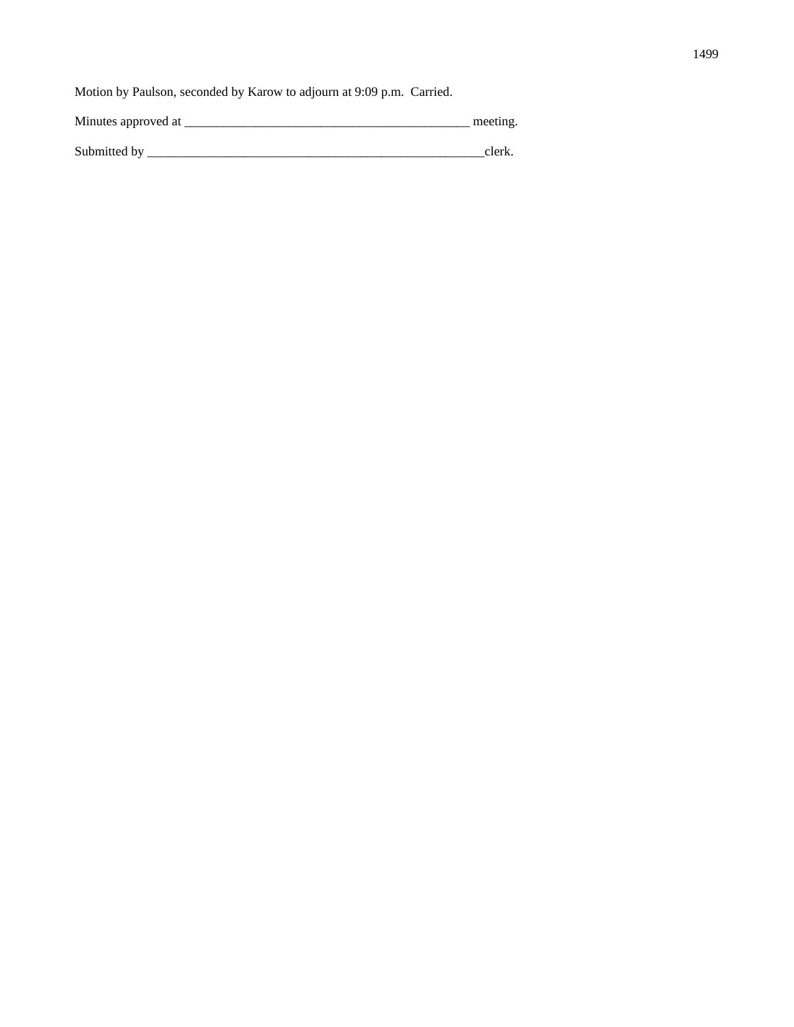Motion by Paulson, seconded by Karow to adjourn at 9:09 p.m. Carried.

Minutes approved at \_\_\_\_\_\_\_\_\_\_\_\_\_\_\_\_\_\_\_\_\_\_\_\_\_\_\_\_\_\_\_\_\_\_\_\_\_\_\_\_\_\_\_\_ meeting.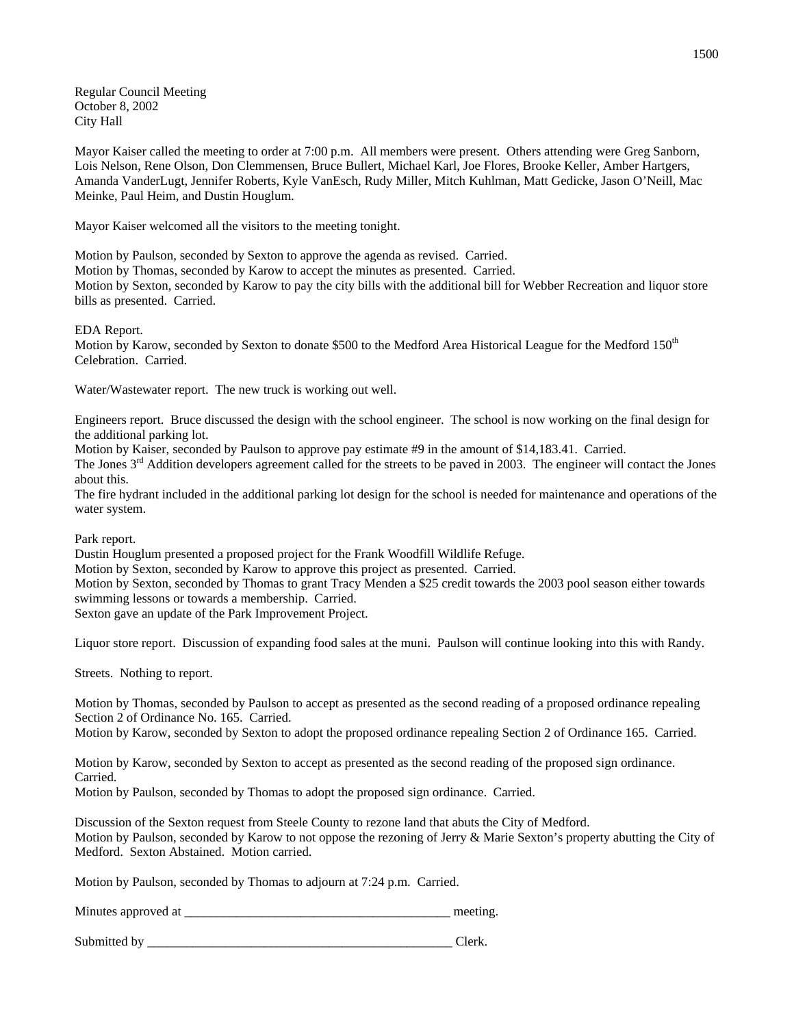Regular Council Meeting October 8, 2002 City Hall

Mayor Kaiser called the meeting to order at 7:00 p.m. All members were present. Others attending were Greg Sanborn, Lois Nelson, Rene Olson, Don Clemmensen, Bruce Bullert, Michael Karl, Joe Flores, Brooke Keller, Amber Hartgers, Amanda VanderLugt, Jennifer Roberts, Kyle VanEsch, Rudy Miller, Mitch Kuhlman, Matt Gedicke, Jason O'Neill, Mac Meinke, Paul Heim, and Dustin Houglum.

Mayor Kaiser welcomed all the visitors to the meeting tonight.

Motion by Paulson, seconded by Sexton to approve the agenda as revised. Carried.

Motion by Thomas, seconded by Karow to accept the minutes as presented. Carried.

Motion by Sexton, seconded by Karow to pay the city bills with the additional bill for Webber Recreation and liquor store bills as presented. Carried.

EDA Report.

Motion by Karow, seconded by Sexton to donate \$500 to the Medford Area Historical League for the Medford 150<sup>th</sup> Celebration. Carried.

Water/Wastewater report. The new truck is working out well.

Engineers report. Bruce discussed the design with the school engineer. The school is now working on the final design for the additional parking lot.

Motion by Kaiser, seconded by Paulson to approve pay estimate #9 in the amount of \$14,183.41. Carried.

The Jones 3<sup>rd</sup> Addition developers agreement called for the streets to be paved in 2003. The engineer will contact the Jones about this.

The fire hydrant included in the additional parking lot design for the school is needed for maintenance and operations of the water system.

Park report.

Dustin Houglum presented a proposed project for the Frank Woodfill Wildlife Refuge.

Motion by Sexton, seconded by Karow to approve this project as presented. Carried.

Motion by Sexton, seconded by Thomas to grant Tracy Menden a \$25 credit towards the 2003 pool season either towards swimming lessons or towards a membership. Carried.

Sexton gave an update of the Park Improvement Project.

Liquor store report. Discussion of expanding food sales at the muni. Paulson will continue looking into this with Randy.

Streets. Nothing to report.

Motion by Thomas, seconded by Paulson to accept as presented as the second reading of a proposed ordinance repealing Section 2 of Ordinance No. 165. Carried.

Motion by Karow, seconded by Sexton to adopt the proposed ordinance repealing Section 2 of Ordinance 165. Carried.

Motion by Karow, seconded by Sexton to accept as presented as the second reading of the proposed sign ordinance. Carried.

Motion by Paulson, seconded by Thomas to adopt the proposed sign ordinance. Carried.

Discussion of the Sexton request from Steele County to rezone land that abuts the City of Medford.

Motion by Paulson, seconded by Karow to not oppose the rezoning of Jerry & Marie Sexton's property abutting the City of Medford. Sexton Abstained. Motion carried.

Motion by Paulson, seconded by Thomas to adjourn at 7:24 p.m. Carried.

| Minutes approved at | meeting |
|---------------------|---------|
|                     |         |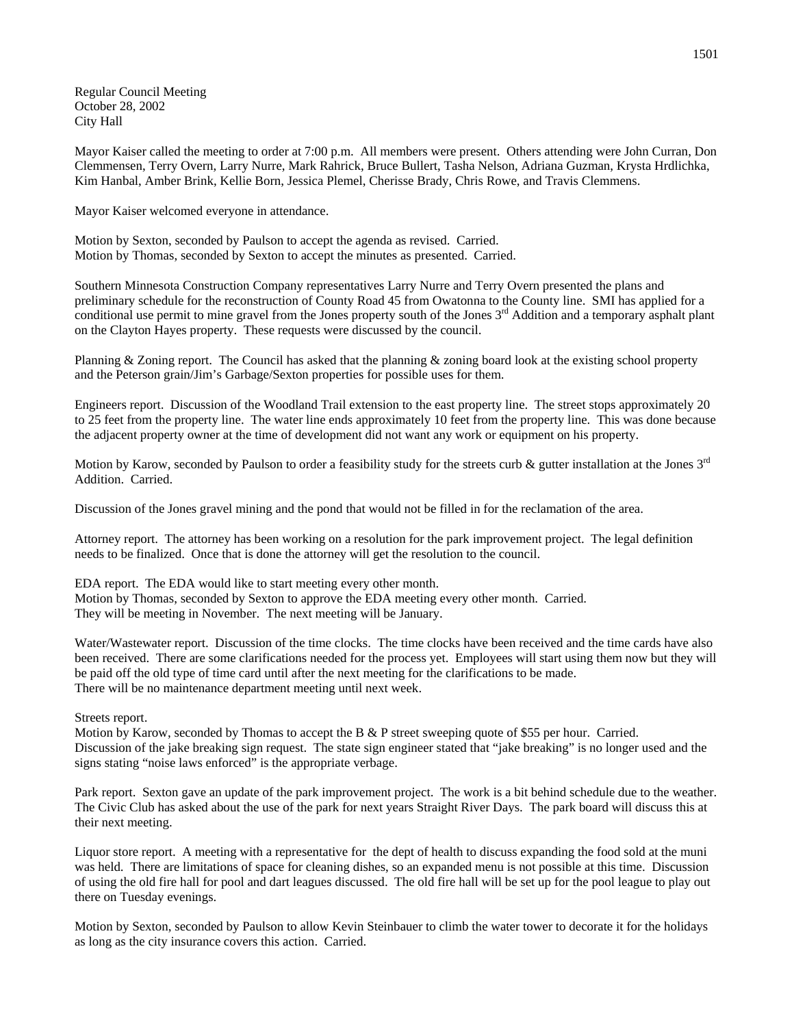Regular Council Meeting October 28, 2002 City Hall

Mayor Kaiser called the meeting to order at 7:00 p.m. All members were present. Others attending were John Curran, Don Clemmensen, Terry Overn, Larry Nurre, Mark Rahrick, Bruce Bullert, Tasha Nelson, Adriana Guzman, Krysta Hrdlichka, Kim Hanbal, Amber Brink, Kellie Born, Jessica Plemel, Cherisse Brady, Chris Rowe, and Travis Clemmens.

Mayor Kaiser welcomed everyone in attendance.

Motion by Sexton, seconded by Paulson to accept the agenda as revised. Carried. Motion by Thomas, seconded by Sexton to accept the minutes as presented. Carried.

Southern Minnesota Construction Company representatives Larry Nurre and Terry Overn presented the plans and preliminary schedule for the reconstruction of County Road 45 from Owatonna to the County line. SMI has applied for a conditional use permit to mine gravel from the Jones property south of the Jones  $3<sup>rd</sup>$  Addition and a temporary asphalt plant on the Clayton Hayes property. These requests were discussed by the council.

Planning & Zoning report. The Council has asked that the planning & zoning board look at the existing school property and the Peterson grain/Jim's Garbage/Sexton properties for possible uses for them.

Engineers report. Discussion of the Woodland Trail extension to the east property line. The street stops approximately 20 to 25 feet from the property line. The water line ends approximately 10 feet from the property line. This was done because the adjacent property owner at the time of development did not want any work or equipment on his property.

Motion by Karow, seconded by Paulson to order a feasibility study for the streets curb  $\&$  gutter installation at the Jones  $3^{rd}$ Addition. Carried.

Discussion of the Jones gravel mining and the pond that would not be filled in for the reclamation of the area.

Attorney report. The attorney has been working on a resolution for the park improvement project. The legal definition needs to be finalized. Once that is done the attorney will get the resolution to the council.

EDA report. The EDA would like to start meeting every other month. Motion by Thomas, seconded by Sexton to approve the EDA meeting every other month. Carried. They will be meeting in November. The next meeting will be January.

Water/Wastewater report. Discussion of the time clocks. The time clocks have been received and the time cards have also been received. There are some clarifications needed for the process yet. Employees will start using them now but they will be paid off the old type of time card until after the next meeting for the clarifications to be made. There will be no maintenance department meeting until next week.

Streets report.

Motion by Karow, seconded by Thomas to accept the B & P street sweeping quote of \$55 per hour. Carried. Discussion of the jake breaking sign request. The state sign engineer stated that "jake breaking" is no longer used and the signs stating "noise laws enforced" is the appropriate verbage.

Park report. Sexton gave an update of the park improvement project. The work is a bit behind schedule due to the weather. The Civic Club has asked about the use of the park for next years Straight River Days. The park board will discuss this at their next meeting.

Liquor store report. A meeting with a representative for the dept of health to discuss expanding the food sold at the muni was held. There are limitations of space for cleaning dishes, so an expanded menu is not possible at this time. Discussion of using the old fire hall for pool and dart leagues discussed. The old fire hall will be set up for the pool league to play out there on Tuesday evenings.

Motion by Sexton, seconded by Paulson to allow Kevin Steinbauer to climb the water tower to decorate it for the holidays as long as the city insurance covers this action. Carried.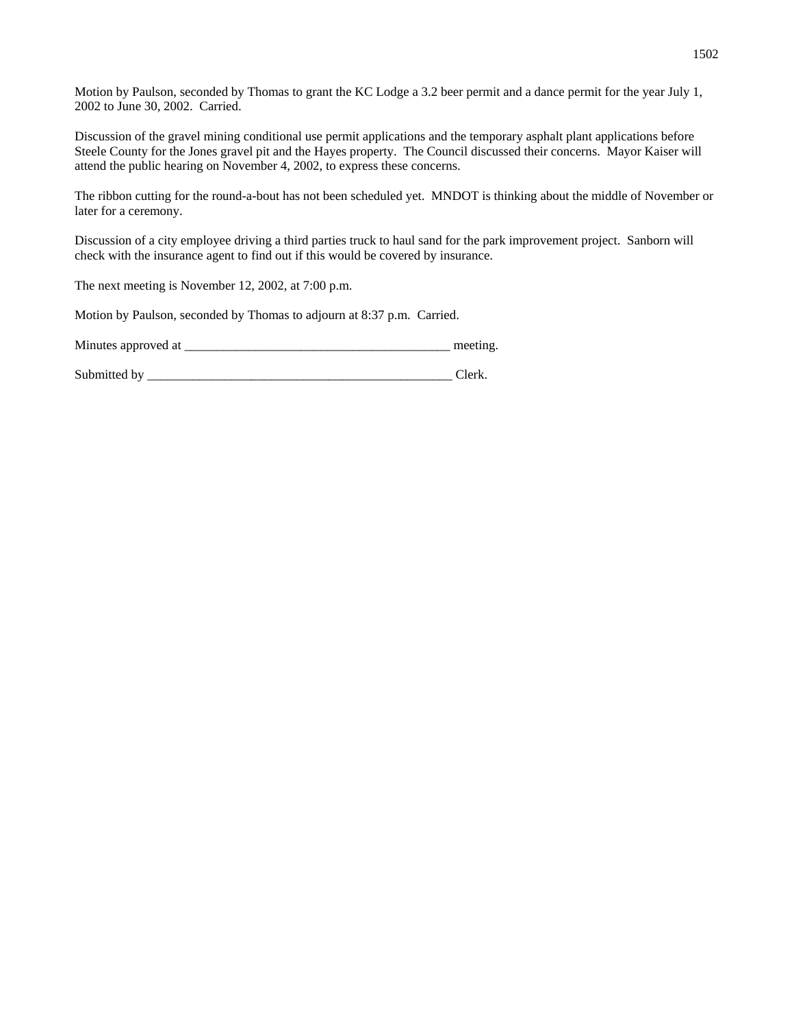Motion by Paulson, seconded by Thomas to grant the KC Lodge a 3.2 beer permit and a dance permit for the year July 1, 2002 to June 30, 2002. Carried.

Discussion of the gravel mining conditional use permit applications and the temporary asphalt plant applications before Steele County for the Jones gravel pit and the Hayes property. The Council discussed their concerns. Mayor Kaiser will attend the public hearing on November 4, 2002, to express these concerns.

The ribbon cutting for the round-a-bout has not been scheduled yet. MNDOT is thinking about the middle of November or later for a ceremony.

Discussion of a city employee driving a third parties truck to haul sand for the park improvement project. Sanborn will check with the insurance agent to find out if this would be covered by insurance.

The next meeting is November 12, 2002, at 7:00 p.m.

Motion by Paulson, seconded by Thomas to adjourn at 8:37 p.m. Carried.

Minutes approved at the setting and the setting meeting.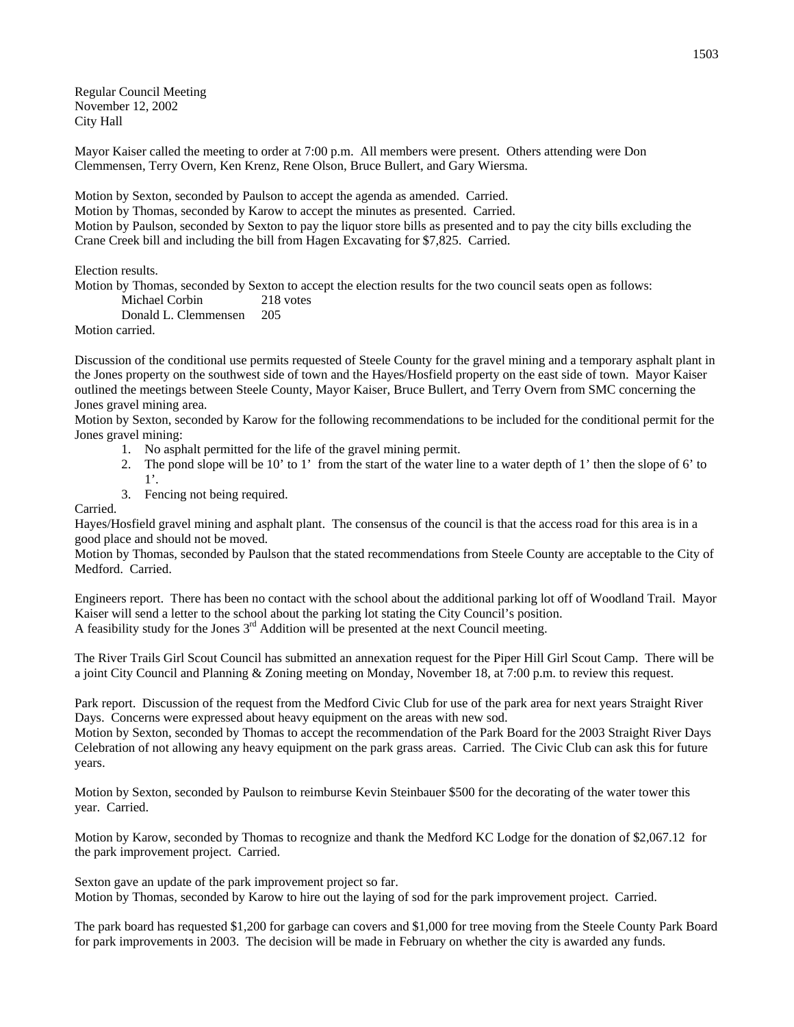Regular Council Meeting November 12, 2002 City Hall

Mayor Kaiser called the meeting to order at 7:00 p.m. All members were present. Others attending were Don Clemmensen, Terry Overn, Ken Krenz, Rene Olson, Bruce Bullert, and Gary Wiersma.

Motion by Sexton, seconded by Paulson to accept the agenda as amended. Carried.

Motion by Thomas, seconded by Karow to accept the minutes as presented. Carried.

Motion by Paulson, seconded by Sexton to pay the liquor store bills as presented and to pay the city bills excluding the Crane Creek bill and including the bill from Hagen Excavating for \$7,825. Carried.

Election results.

Motion by Thomas, seconded by Sexton to accept the election results for the two council seats open as follows:

Michael Corbin 218 votes

Donald L. Clemmensen 205

Motion carried.

Discussion of the conditional use permits requested of Steele County for the gravel mining and a temporary asphalt plant in the Jones property on the southwest side of town and the Hayes/Hosfield property on the east side of town. Mayor Kaiser outlined the meetings between Steele County, Mayor Kaiser, Bruce Bullert, and Terry Overn from SMC concerning the Jones gravel mining area.

Motion by Sexton, seconded by Karow for the following recommendations to be included for the conditional permit for the Jones gravel mining:

- 1. No asphalt permitted for the life of the gravel mining permit.
- 2. The pond slope will be 10' to 1' from the start of the water line to a water depth of 1' then the slope of 6' to 1'.
- 3. Fencing not being required.

Carried.

Hayes/Hosfield gravel mining and asphalt plant. The consensus of the council is that the access road for this area is in a good place and should not be moved.

Motion by Thomas, seconded by Paulson that the stated recommendations from Steele County are acceptable to the City of Medford. Carried.

Engineers report. There has been no contact with the school about the additional parking lot off of Woodland Trail. Mayor Kaiser will send a letter to the school about the parking lot stating the City Council's position. A feasibility study for the Jones  $3<sup>rd</sup>$  Addition will be presented at the next Council meeting.

The River Trails Girl Scout Council has submitted an annexation request for the Piper Hill Girl Scout Camp. There will be a joint City Council and Planning & Zoning meeting on Monday, November 18, at 7:00 p.m. to review this request.

Park report. Discussion of the request from the Medford Civic Club for use of the park area for next years Straight River Days. Concerns were expressed about heavy equipment on the areas with new sod.

Motion by Sexton, seconded by Thomas to accept the recommendation of the Park Board for the 2003 Straight River Days Celebration of not allowing any heavy equipment on the park grass areas. Carried. The Civic Club can ask this for future years.

Motion by Sexton, seconded by Paulson to reimburse Kevin Steinbauer \$500 for the decorating of the water tower this year. Carried.

Motion by Karow, seconded by Thomas to recognize and thank the Medford KC Lodge for the donation of \$2,067.12 for the park improvement project. Carried.

Sexton gave an update of the park improvement project so far. Motion by Thomas, seconded by Karow to hire out the laying of sod for the park improvement project. Carried.

The park board has requested \$1,200 for garbage can covers and \$1,000 for tree moving from the Steele County Park Board for park improvements in 2003. The decision will be made in February on whether the city is awarded any funds.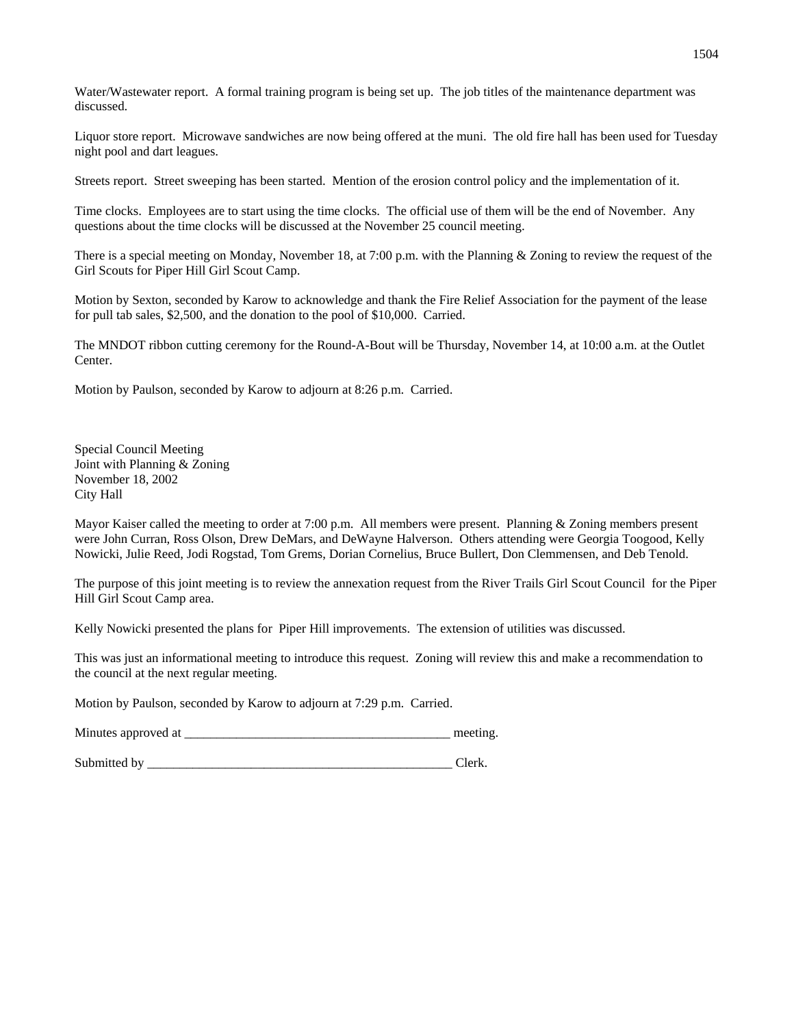Water/Wastewater report. A formal training program is being set up. The job titles of the maintenance department was discussed.

Liquor store report. Microwave sandwiches are now being offered at the muni. The old fire hall has been used for Tuesday night pool and dart leagues.

Streets report. Street sweeping has been started. Mention of the erosion control policy and the implementation of it.

Time clocks. Employees are to start using the time clocks. The official use of them will be the end of November. Any questions about the time clocks will be discussed at the November 25 council meeting.

There is a special meeting on Monday, November 18, at 7:00 p.m. with the Planning & Zoning to review the request of the Girl Scouts for Piper Hill Girl Scout Camp.

Motion by Sexton, seconded by Karow to acknowledge and thank the Fire Relief Association for the payment of the lease for pull tab sales, \$2,500, and the donation to the pool of \$10,000. Carried.

The MNDOT ribbon cutting ceremony for the Round-A-Bout will be Thursday, November 14, at 10:00 a.m. at the Outlet Center.

Motion by Paulson, seconded by Karow to adjourn at 8:26 p.m. Carried.

Special Council Meeting Joint with Planning & Zoning November 18, 2002 City Hall

Mayor Kaiser called the meeting to order at 7:00 p.m. All members were present. Planning & Zoning members present were John Curran, Ross Olson, Drew DeMars, and DeWayne Halverson. Others attending were Georgia Toogood, Kelly Nowicki, Julie Reed, Jodi Rogstad, Tom Grems, Dorian Cornelius, Bruce Bullert, Don Clemmensen, and Deb Tenold.

The purpose of this joint meeting is to review the annexation request from the River Trails Girl Scout Council for the Piper Hill Girl Scout Camp area.

Kelly Nowicki presented the plans for Piper Hill improvements. The extension of utilities was discussed.

This was just an informational meeting to introduce this request. Zoning will review this and make a recommendation to the council at the next regular meeting.

Motion by Paulson, seconded by Karow to adjourn at 7:29 p.m. Carried.

Minutes approved at \_\_\_\_\_\_\_\_\_\_\_\_\_\_\_\_\_\_\_\_\_\_\_\_\_\_\_\_\_\_\_\_\_\_\_\_\_\_\_\_\_ meeting.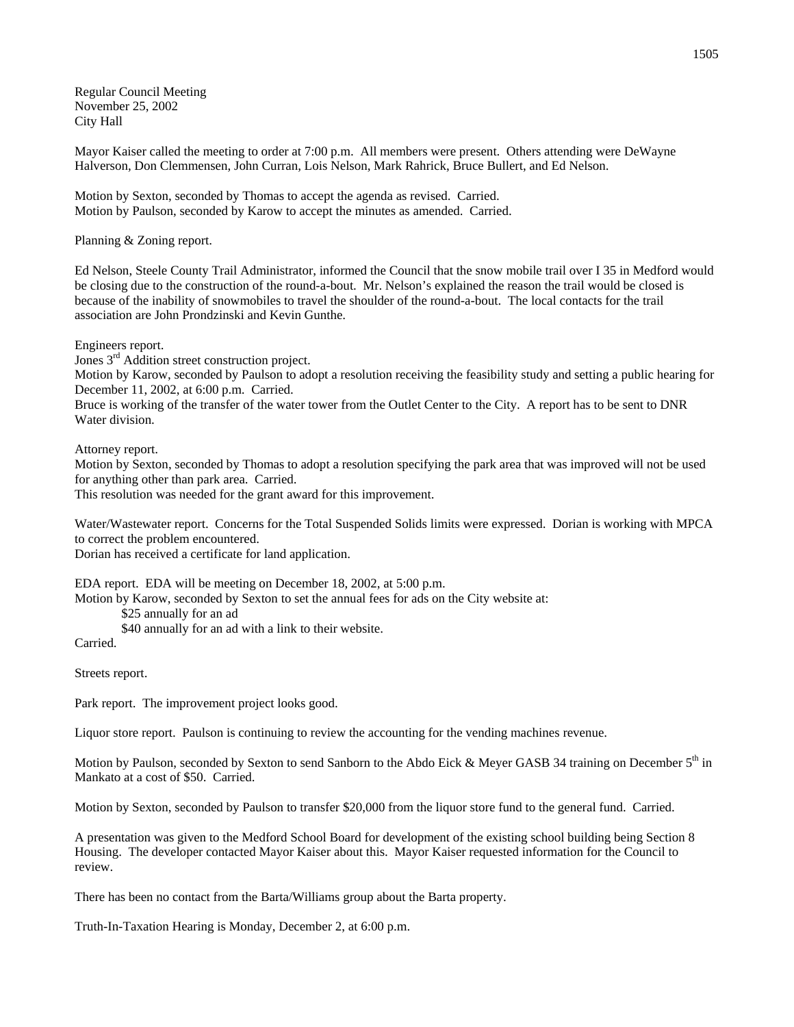Regular Council Meeting November 25, 2002 City Hall

Mayor Kaiser called the meeting to order at 7:00 p.m. All members were present. Others attending were DeWayne Halverson, Don Clemmensen, John Curran, Lois Nelson, Mark Rahrick, Bruce Bullert, and Ed Nelson.

Motion by Sexton, seconded by Thomas to accept the agenda as revised. Carried. Motion by Paulson, seconded by Karow to accept the minutes as amended. Carried.

Planning & Zoning report.

Ed Nelson, Steele County Trail Administrator, informed the Council that the snow mobile trail over I 35 in Medford would be closing due to the construction of the round-a-bout. Mr. Nelson's explained the reason the trail would be closed is because of the inability of snowmobiles to travel the shoulder of the round-a-bout. The local contacts for the trail association are John Prondzinski and Kevin Gunthe.

Engineers report.

Jones 3<sup>rd</sup> Addition street construction project.

Motion by Karow, seconded by Paulson to adopt a resolution receiving the feasibility study and setting a public hearing for December 11, 2002, at 6:00 p.m. Carried.

Bruce is working of the transfer of the water tower from the Outlet Center to the City. A report has to be sent to DNR Water division.

Attorney report.

Motion by Sexton, seconded by Thomas to adopt a resolution specifying the park area that was improved will not be used for anything other than park area. Carried.

This resolution was needed for the grant award for this improvement.

Water/Wastewater report. Concerns for the Total Suspended Solids limits were expressed. Dorian is working with MPCA to correct the problem encountered.

Dorian has received a certificate for land application.

EDA report. EDA will be meeting on December 18, 2002, at 5:00 p.m.

Motion by Karow, seconded by Sexton to set the annual fees for ads on the City website at:

\$25 annually for an ad

\$40 annually for an ad with a link to their website.

Carried.

Streets report.

Park report. The improvement project looks good.

Liquor store report. Paulson is continuing to review the accounting for the vending machines revenue.

Motion by Paulson, seconded by Sexton to send Sanborn to the Abdo Eick & Meyer GASB 34 training on December  $5<sup>th</sup>$  in Mankato at a cost of \$50. Carried.

Motion by Sexton, seconded by Paulson to transfer \$20,000 from the liquor store fund to the general fund. Carried.

A presentation was given to the Medford School Board for development of the existing school building being Section 8 Housing. The developer contacted Mayor Kaiser about this. Mayor Kaiser requested information for the Council to review.

There has been no contact from the Barta/Williams group about the Barta property.

Truth-In-Taxation Hearing is Monday, December 2, at 6:00 p.m.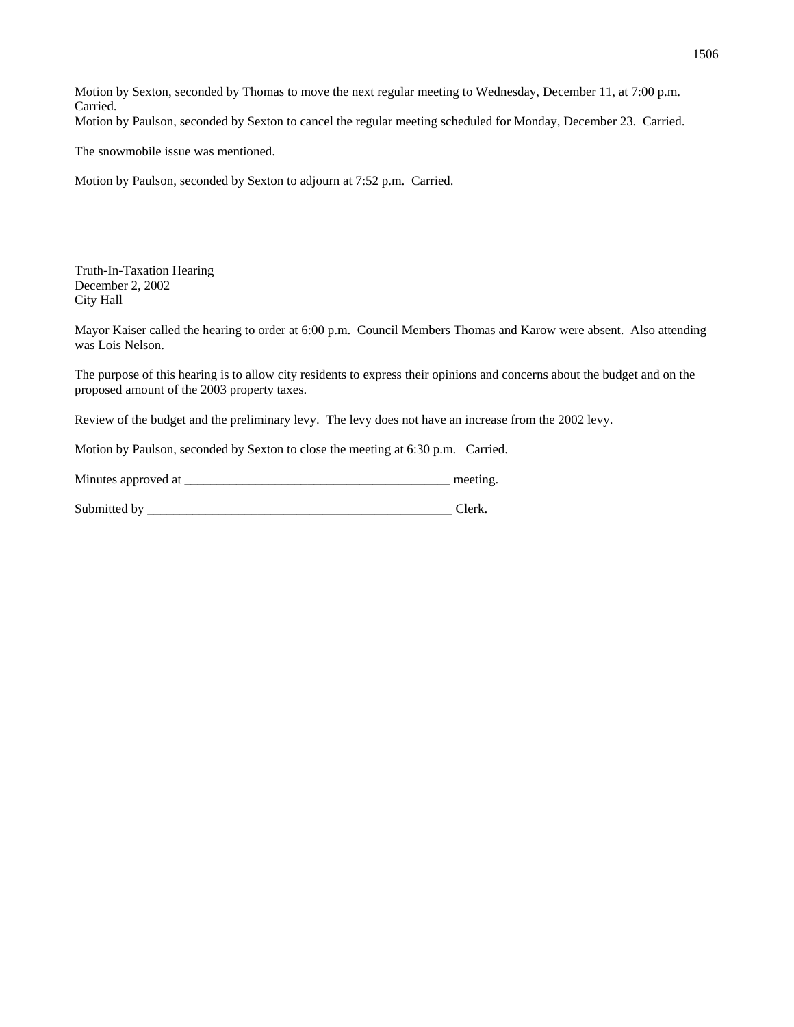Motion by Sexton, seconded by Thomas to move the next regular meeting to Wednesday, December 11, at 7:00 p.m. Carried. Motion by Paulson, seconded by Sexton to cancel the regular meeting scheduled for Monday, December 23. Carried.

The snowmobile issue was mentioned.

Motion by Paulson, seconded by Sexton to adjourn at 7:52 p.m. Carried.

Truth-In-Taxation Hearing December 2, 2002 City Hall

Mayor Kaiser called the hearing to order at 6:00 p.m. Council Members Thomas and Karow were absent. Also attending was Lois Nelson.

The purpose of this hearing is to allow city residents to express their opinions and concerns about the budget and on the proposed amount of the 2003 property taxes.

Review of the budget and the preliminary levy. The levy does not have an increase from the 2002 levy.

Motion by Paulson, seconded by Sexton to close the meeting at 6:30 p.m. Carried.

| Minutes approved at |  | meeting |
|---------------------|--|---------|
|---------------------|--|---------|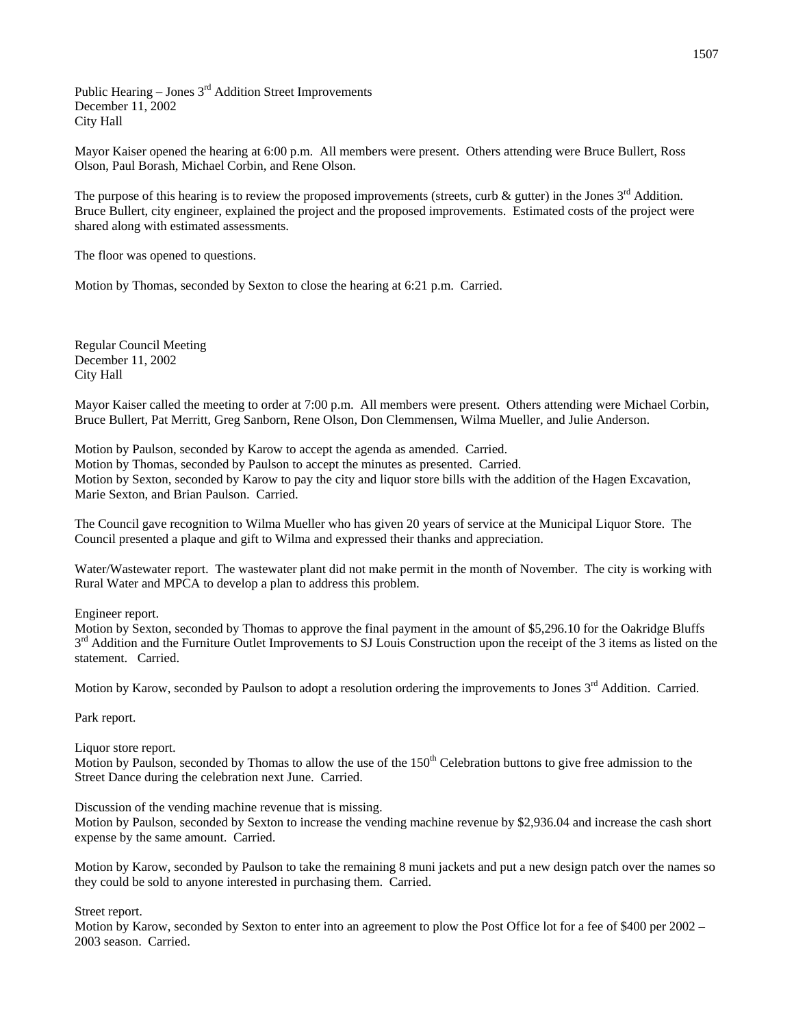Public Hearing – Jones  $3<sup>rd</sup>$  Addition Street Improvements December 11, 2002 City Hall

Mayor Kaiser opened the hearing at 6:00 p.m. All members were present. Others attending were Bruce Bullert, Ross Olson, Paul Borash, Michael Corbin, and Rene Olson.

The purpose of this hearing is to review the proposed improvements (streets, curb & gutter) in the Jones  $3<sup>rd</sup>$  Addition. Bruce Bullert, city engineer, explained the project and the proposed improvements. Estimated costs of the project were shared along with estimated assessments.

The floor was opened to questions.

Motion by Thomas, seconded by Sexton to close the hearing at 6:21 p.m. Carried.

Regular Council Meeting December 11, 2002 City Hall

Mayor Kaiser called the meeting to order at 7:00 p.m. All members were present. Others attending were Michael Corbin, Bruce Bullert, Pat Merritt, Greg Sanborn, Rene Olson, Don Clemmensen, Wilma Mueller, and Julie Anderson.

Motion by Paulson, seconded by Karow to accept the agenda as amended. Carried. Motion by Thomas, seconded by Paulson to accept the minutes as presented. Carried. Motion by Sexton, seconded by Karow to pay the city and liquor store bills with the addition of the Hagen Excavation, Marie Sexton, and Brian Paulson. Carried.

The Council gave recognition to Wilma Mueller who has given 20 years of service at the Municipal Liquor Store. The Council presented a plaque and gift to Wilma and expressed their thanks and appreciation.

Water/Wastewater report. The wastewater plant did not make permit in the month of November. The city is working with Rural Water and MPCA to develop a plan to address this problem.

Engineer report.

Motion by Sexton, seconded by Thomas to approve the final payment in the amount of \$5,296.10 for the Oakridge Bluffs  $3<sup>rd</sup>$  Addition and the Furniture Outlet Improvements to SJ Louis Construction upon the receipt of the 3 items as listed on the statement. Carried.

Motion by Karow, seconded by Paulson to adopt a resolution ordering the improvements to Jones 3<sup>rd</sup> Addition. Carried.

Park report.

Liquor store report.

Motion by Paulson, seconded by Thomas to allow the use of the  $150<sup>th</sup>$  Celebration buttons to give free admission to the Street Dance during the celebration next June. Carried.

Discussion of the vending machine revenue that is missing.

Motion by Paulson, seconded by Sexton to increase the vending machine revenue by \$2,936.04 and increase the cash short expense by the same amount. Carried.

Motion by Karow, seconded by Paulson to take the remaining 8 muni jackets and put a new design patch over the names so they could be sold to anyone interested in purchasing them. Carried.

Street report.

Motion by Karow, seconded by Sexton to enter into an agreement to plow the Post Office lot for a fee of \$400 per 2002 – 2003 season. Carried.